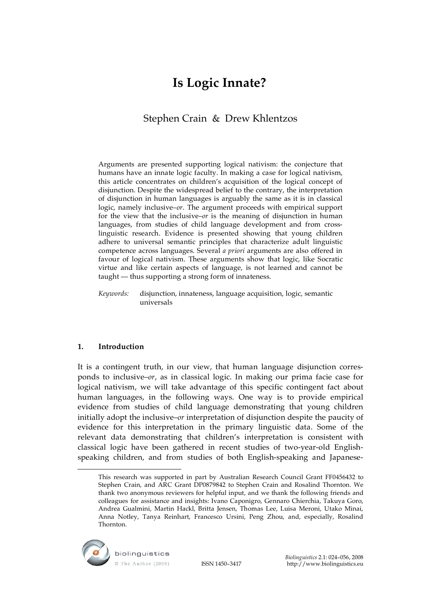# **Is Logic Innate?**

## Stephen Crain & Drew Khlentzos

Arguments are presented supporting logical nativism: the conjecture that humans have an innate logic faculty. In making a case for logical nativism, this article concentrates on children's acquisition of the logical concept of disjunction. Despite the widespread belief to the contrary, the interpretation of disjunction in human languages is arguably the same as it is in classical logic, namely inclusive–*or*. The argument proceeds with empirical support for the view that the inclusive–*or* is the meaning of disjunction in human languages, from studies of child language development and from crosslinguistic research. Evidence is presented showing that young children adhere to universal semantic principles that characterize adult linguistic competence across languages. Several *a priori* arguments are also offered in favour of logical nativism. These arguments show that logic, like Socratic virtue and like certain aspects of language, is not learned and cannot be taught — thus supporting a strong form of innateness.

*Keywords:* disjunction, innateness, language acquisition, logic, semantic universals

## **1. Introduction**

 $\overline{a}$ 

It is a contingent truth, in our view, that human language disjunction corresponds to inclusive–*or*, as in classical logic. In making our prima facie case for logical nativism, we will take advantage of this specific contingent fact about human languages, in the following ways. One way is to provide empirical evidence from studies of child language demonstrating that young children initially adopt the inclusive–*or* interpretation of disjunction despite the paucity of evidence for this interpretation in the primary linguistic data. Some of the relevant data demonstrating that children's interpretation is consistent with classical logic have been gathered in recent studies of two-year-old Englishspeaking children, and from studies of both English-speaking and Japanese-

This research was supported in part by Australian Research Council Grant FF0456432 to Stephen Crain, and ARC Grant DP0879842 to Stephen Crain and Rosalind Thornton. We thank two anonymous reviewers for helpful input, and we thank the following friends and colleagues for assistance and insights: Ivano Caponigro, Gennaro Chierchia, Takuya Goro, Andrea Gualmini, Martin Hackl, Britta Jensen, Thomas Lee, Luisa Meroni, Utako Minai, Anna Notley, Tanya Reinhart, Francesco Ursini, Peng Zhou, and, especially, Rosalind Thornton.

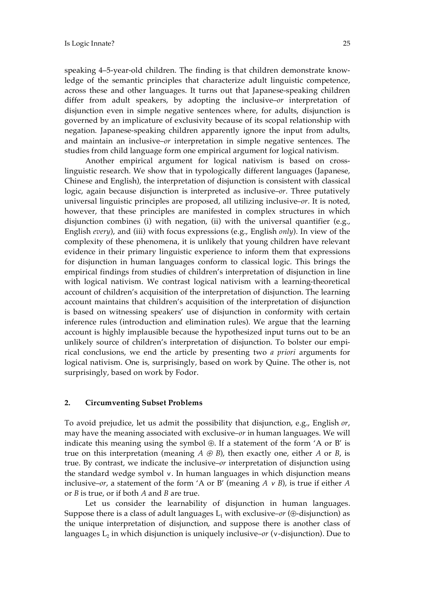speaking 4–5-year-old children. The finding is that children demonstrate knowledge of the semantic principles that characterize adult linguistic competence, across these and other languages. It turns out that Japanese-speaking children differ from adult speakers, by adopting the inclusive–*or* interpretation of disjunction even in simple negative sentences where, for adults, disjunction is governed by an implicature of exclusivity because of its scopal relationship with negation. Japanese-speaking children apparently ignore the input from adults, and maintain an inclusive–*or* interpretation in simple negative sentences. The studies from child language form one empirical argument for logical nativism.

Another empirical argument for logical nativism is based on crosslinguistic research. We show that in typologically different languages (Japanese, Chinese and English), the interpretation of disjunction is consistent with classical logic, again because disjunction is interpreted as inclusive–*or*. Three putatively universal linguistic principles are proposed, all utilizing inclusive–*or*. It is noted, however, that these principles are manifested in complex structures in which disjunction combines (i) with negation, (ii) with the universal quantifier (e.g., English *every*), and (iii) with focus expressions (e.g., English *only*). In view of the complexity of these phenomena, it is unlikely that young children have relevant evidence in their primary linguistic experience to inform them that expressions for disjunction in human languages conform to classical logic. This brings the empirical findings from studies of children's interpretation of disjunction in line with logical nativism. We contrast logical nativism with a learning-theoretical account of children's acquisition of the interpretation of disjunction. The learning account maintains that children's acquisition of the interpretation of disjunction is based on witnessing speakers' use of disjunction in conformity with certain inference rules (introduction and elimination rules). We argue that the learning account is highly implausible because the hypothesized input turns out to be an unlikely source of children's interpretation of disjunction. To bolster our empirical conclusions, we end the article by presenting two *a priori* arguments for logical nativism. One is, surprisingly, based on work by Quine. The other is, not surprisingly, based on work by Fodor.

#### **2. Circumventing Subset Problems**

To avoid prejudice, let us admit the possibility that disjunction, e.g., English *or*, may have the meaning associated with exclusive–*or* in human languages. We will indicate this meaning using the symbol ⊕. If a statement of the form 'A or B' is true on this interpretation (meaning  $A \oplus B$ ), then exactly one, either  $A$  or  $B$ , is true. By contrast, we indicate the inclusive–*or* interpretation of disjunction using the standard wedge symbol ∨. In human languages in which disjunction means inclusive–*or*, a statement of the form 'A or B' (meaning *A* ∨ *B*), is true if either *A* or *B* is true, or if both *A* and *B* are true.

Let us consider the learnability of disjunction in human languages. Suppose there is a class of adult languages  $L_1$  with exclusive–*or* ( $\oplus$ -disjunction) as the unique interpretation of disjunction, and suppose there is another class of languages L2 in which disjunction is uniquely inclusive–*or* (∨-disjunction). Due to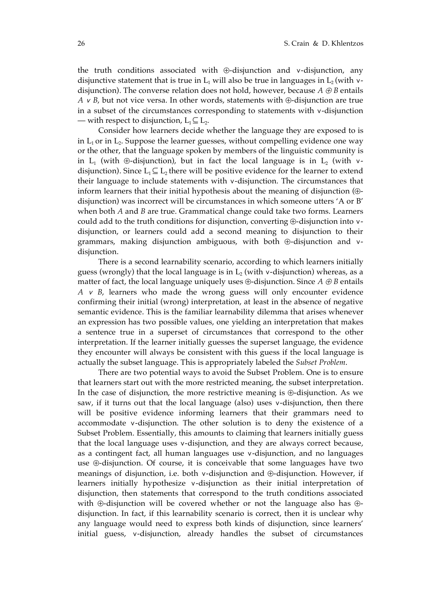the truth conditions associated with ⊕-disjunction and ∨-disjunction, any disjunctive statement that is true in L<sub>1</sub> will also be true in languages in L<sub>2</sub> (with ∨disjunction). The converse relation does not hold, however, because  $A \oplus B$  entails *A* ∨ *B*, but not vice versa. In other words, statements with ⊕-disjunction are true in a subset of the circumstances corresponding to statements with ∨-disjunction — with respect to disjunction,  $L_1 \subseteq L_2$ .

Consider how learners decide whether the language they are exposed to is in  $L_1$  or in  $L_2$ . Suppose the learner guesses, without compelling evidence one way or the other, that the language spoken by members of the linguistic community is in L<sub>1</sub> (with ⊕-disjunction), but in fact the local language is in L<sub>2</sub> (with  $v$ disjunction). Since  $L_1 \subseteq L_2$  there will be positive evidence for the learner to extend their language to include statements with ∨-disjunction. The circumstances that inform learners that their initial hypothesis about the meaning of disjunction (⊕ disjunction) was incorrect will be circumstances in which someone utters 'A or B' when both *A* and *B* are true. Grammatical change could take two forms. Learners could add to the truth conditions for disjunction, converting ⊕-disjunction into ∨ disjunction, or learners could add a second meaning to disjunction to their grammars, making disjunction ambiguous, with both ⊕-disjunction and ∨ disjunction.

There is a second learnability scenario, according to which learners initially guess (wrongly) that the local language is in  $L_2$  (with  $\vee$ -disjunction) whereas, as a matter of fact, the local language uniquely uses  $\oplus$ -disjunction. Since  $A \oplus B$  entails *A* ∨ *B*, learners who made the wrong guess will only encounter evidence confirming their initial (wrong) interpretation, at least in the absence of negative semantic evidence. This is the familiar learnability dilemma that arises whenever an expression has two possible values, one yielding an interpretation that makes a sentence true in a superset of circumstances that correspond to the other interpretation. If the learner initially guesses the superset language, the evidence they encounter will always be consistent with this guess if the local language is actually the subset language. This is appropriately labeled the *Subset Problem*.

There are two potential ways to avoid the Subset Problem. One is to ensure that learners start out with the more restricted meaning, the subset interpretation. In the case of disjunction, the more restrictive meaning is ⊕-disjunction. As we saw, if it turns out that the local language (also) uses ∨-disjunction, then there will be positive evidence informing learners that their grammars need to accommodate ∨-disjunction. The other solution is to deny the existence of a Subset Problem. Essentially, this amounts to claiming that learners initially guess that the local language uses ∨-disjunction, and they are always correct because, as a contingent fact, all human languages use ∨-disjunction, and no languages use ⊕-disjunction. Of course, it is conceivable that some languages have two meanings of disjunction, i.e. both ∨-disjunction and ⊕-disjunction. However, if learners initially hypothesize ∨-disjunction as their initial interpretation of disjunction, then statements that correspond to the truth conditions associated with ⊕-disjunction will be covered whether or not the language also has ⊕ disjunction. In fact, if this learnability scenario is correct, then it is unclear why any language would need to express both kinds of disjunction, since learners' initial guess, ∨-disjunction, already handles the subset of circumstances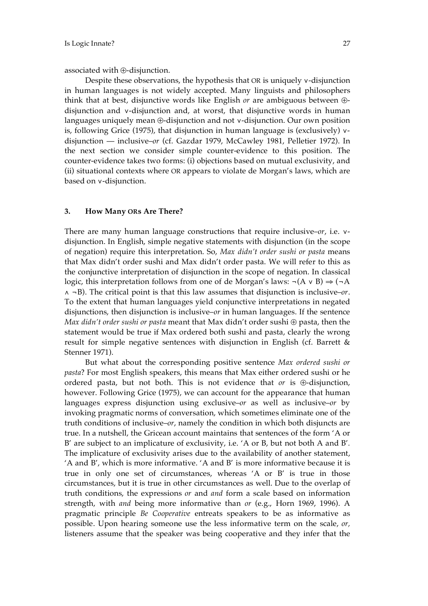associated with ⊕-disjunction.

Despite these observations, the hypothesis that OR is uniquely ∨-disjunction in human languages is not widely accepted. Many linguists and philosophers think that at best, disjunctive words like English *or* are ambiguous between ⊕ disjunction and ∨-disjunction and, at worst, that disjunctive words in human languages uniquely mean ⊕-disjunction and not ∨-disjunction. Our own position is, following Grice (1975), that disjunction in human language is (exclusively) ∨ disjunction — inclusive–*or* (cf. Gazdar 1979, McCawley 1981, Pelletier 1972). In the next section we consider simple counter-evidence to this position. The counter-evidence takes two forms: (i) objections based on mutual exclusivity, and (ii) situational contexts where OR appears to violate de Morgan's laws, which are based on ∨-disjunction.

### **3. How Many ORs Are There?**

There are many human language constructions that require inclusive–*or*, i.e. ∨ disjunction. In English, simple negative statements with disjunction (in the scope of negation) require this interpretation. So, *Max didn't order sushi or pasta* means that Max didn't order sushi and Max didn't order pasta. We will refer to this as the conjunctive interpretation of disjunction in the scope of negation. In classical logic, this interpretation follows from one of de Morgan's laws:  $\neg$ (A v B)  $\Rightarrow$  ( $\neg$ A ∧ ¬B). The critical point is that this law assumes that disjunction is inclusive–*or*. To the extent that human languages yield conjunctive interpretations in negated disjunctions, then disjunction is inclusive–*or* in human languages. If the sentence *Max didn't order sushi or pasta* meant that Max didn't order sushi ⊕ pasta, then the statement would be true if Max ordered both sushi and pasta, clearly the wrong result for simple negative sentences with disjunction in English (cf. Barrett & Stenner 1971).

But what about the corresponding positive sentence *Max ordered sushi or pasta*? For most English speakers, this means that Max either ordered sushi or he ordered pasta, but not both. This is not evidence that *or* is ⊕-disjunction, however. Following Grice (1975), we can account for the appearance that human languages express disjunction using exclusive–*or* as well as inclusive–*or* by invoking pragmatic norms of conversation, which sometimes eliminate one of the truth conditions of inclusive–*or*, namely the condition in which both disjuncts are true. In a nutshell, the Gricean account maintains that sentences of the form 'A or B' are subject to an implicature of exclusivity, i.e. 'A or B, but not both A and B'*.*  The implicature of exclusivity arises due to the availability of another statement, 'A and B', which is more informative. 'A and B' is more informative because it is true in only one set of circumstances, whereas 'A or B' is true in those circumstances, but it is true in other circumstances as well. Due to the overlap of truth conditions, the expressions *or* and *and* form a scale based on information strength, with *and* being more informative than *or* (e.g., Horn 1969, 1996). A pragmatic principle *Be Cooperative* entreats speakers to be as informative as possible. Upon hearing someone use the less informative term on the scale, *or,*  listeners assume that the speaker was being cooperative and they infer that the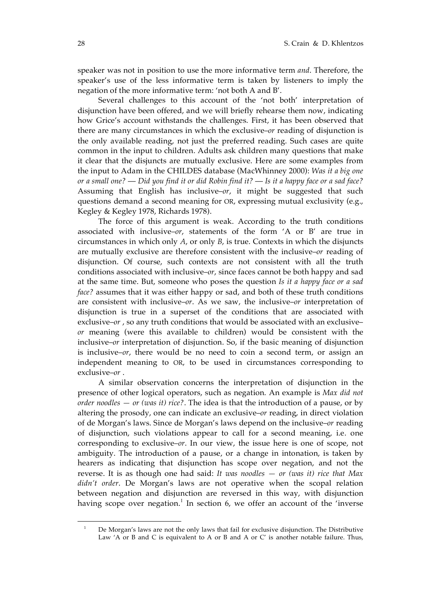speaker was not in position to use the more informative term *and*. Therefore, the speaker's use of the less informative term is taken by listeners to imply the negation of the more informative term: 'not both A and B'.

Several challenges to this account of the 'not both' interpretation of disjunction have been offered, and we will briefly rehearse them now, indicating how Grice's account withstands the challenges. First, it has been observed that there are many circumstances in which the exclusive–*or* reading of disjunction is the only available reading, not just the preferred reading. Such cases are quite common in the input to children. Adults ask children many questions that make it clear that the disjuncts are mutually exclusive. Here are some examples from the input to Adam in the CHILDES database (MacWhinney 2000): *Was it a big one or a small one?* — *Did you find it or did Robin find it?* — *Is it a happy face or a sad face?* Assuming that English has inclusive–*or*, it might be suggested that such questions demand a second meaning for OR, expressing mutual exclusivity (e.g., Kegley & Kegley 1978, Richards 1978).

The force of this argument is weak. According to the truth conditions associated with inclusive–*or*, statements of the form 'A or B' are true in circumstances in which only *A*, or only *B*, is true. Contexts in which the disjuncts are mutually exclusive are therefore consistent with the inclusive–*or* reading of disjunction. Of course, such contexts are not consistent with all the truth conditions associated with inclusive–*or*, since faces cannot be both happy and sad at the same time. But, someone who poses the question *Is it a happy face or a sad face?* assumes that it was either happy or sad, and both of these truth conditions are consistent with inclusive–*or*. As we saw, the inclusive–*or* interpretation of disjunction is true in a superset of the conditions that are associated with exclusive–*or* , so any truth conditions that would be associated with an exclusive– *or* meaning (were this available to children) would be consistent with the inclusive–*or* interpretation of disjunction. So, if the basic meaning of disjunction is inclusive–*or*, there would be no need to coin a second term, or assign an independent meaning to OR, to be used in circumstances corresponding to exclusive–*or* .

A similar observation concerns the interpretation of disjunction in the presence of other logical operators, such as negation. An example is *Max did not order noodles — or (was it) rice?*. The idea is that the introduction of a pause, or by altering the prosody, one can indicate an exclusive–*or* reading, in direct violation of de Morgan's laws. Since de Morgan's laws depend on the inclusive–*or* reading of disjunction, such violations appear to call for a second meaning, i.e. one corresponding to exclusive–*or*. In our view, the issue here is one of scope, not ambiguity. The introduction of a pause, or a change in intonation, is taken by hearers as indicating that disjunction has scope over negation, and not the reverse. It is as though one had said: *It was noodles — or (was it) rice that Max didn't order*. De Morgan's laws are not operative when the scopal relation between negation and disjunction are reversed in this way, with disjunction having scope over negation.<sup>1</sup> In section 6, we offer an account of the 'inverse

 $\overline{a}$ 

<sup>1</sup> De Morgan's laws are not the only laws that fail for exclusive disjunction. The Distributive Law 'A or B and C is equivalent to A or B and A or C' is another notable failure. Thus,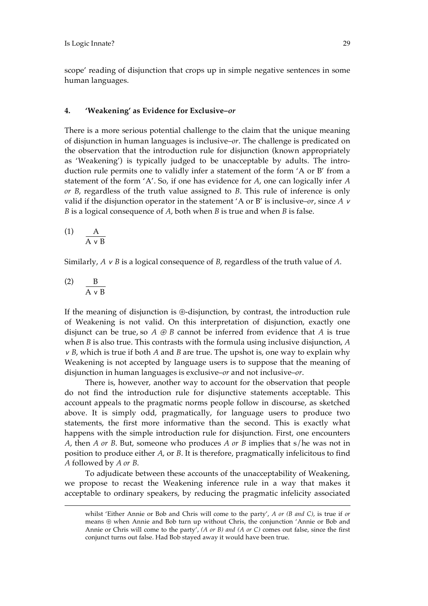scope' reading of disjunction that crops up in simple negative sentences in some human languages.

### **4. 'Weakening' as Evidence for Exclusive–***or*

There is a more serious potential challenge to the claim that the unique meaning of disjunction in human languages is inclusive–*or*. The challenge is predicated on the observation that the introduction rule for disjunction (known appropriately as 'Weakening') is typically judged to be unacceptable by adults. The introduction rule permits one to validly infer a statement of the form 'A or B' from a statement of the form 'A'. So, if one has evidence for *A*, one can logically infer *A or B*, regardless of the truth value assigned to *B*. This rule of inference is only valid if the disjunction operator in the statement 'A or B' is inclusive–*or*, since *A* <sup>∨</sup> *B* is a logical consequence of *A*, both when *B* is true and when *B* is false.

$$
\begin{array}{cc}\n\text{(1)} & \mathbf{A} \\
\hline\n\mathbf{A} \vee \mathbf{B}\n\end{array}
$$

Similarly, *A* ∨ *B* is a logical consequence of *B*, regardless of the truth value of *A*.

$$
\begin{array}{cc}\n\text{(2)} & \frac{\text{B}}{\text{A} \text{v B}}\n\end{array}
$$

 $\overline{a}$ 

If the meaning of disjunction is ⊕-disjunction, by contrast, the introduction rule of Weakening is not valid. On this interpretation of disjunction, exactly one disjunct can be true, so  $A \oplus B$  cannot be inferred from evidence that  $A$  is true when *B* is also true. This contrasts with the formula using inclusive disjunction, *A*  <sup>∨</sup> *B*, which is true if both *A* and *B* are true. The upshot is, one way to explain why Weakening is not accepted by language users is to suppose that the meaning of disjunction in human languages is exclusive–*or* and not inclusive–*or*.

There is, however, another way to account for the observation that people do not find the introduction rule for disjunctive statements acceptable. This account appeals to the pragmatic norms people follow in discourse, as sketched above. It is simply odd, pragmatically, for language users to produce two statements, the first more informative than the second. This is exactly what happens with the simple introduction rule for disjunction. First, one encounters *A*, then *A or B*. But, someone who produces *A or B* implies that s/he was not in position to produce either *A*, or *B*. It is therefore, pragmatically infelicitous to find *A* followed by *A or B*.

To adjudicate between these accounts of the unacceptability of Weakening, we propose to recast the Weakening inference rule in a way that makes it acceptable to ordinary speakers, by reducing the pragmatic infelicity associated

whilst 'Either Annie or Bob and Chris will come to the party', *A or (B and C)*, is true if *or* means ⊕ when Annie and Bob turn up without Chris, the conjunction 'Annie or Bob and Annie or Chris will come to the party', *(A or B) and (A or C)* comes out false, since the first conjunct turns out false. Had Bob stayed away it would have been true.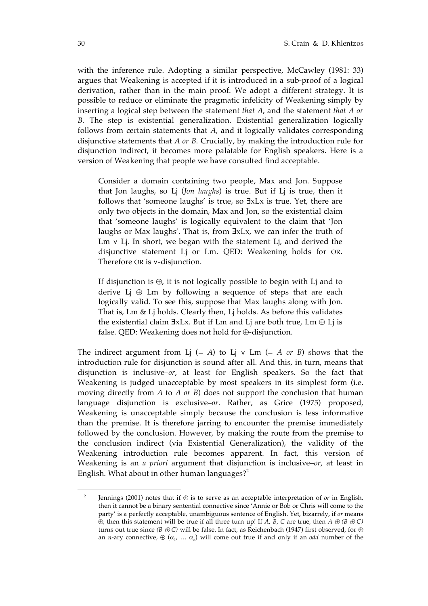with the inference rule. Adopting a similar perspective, McCawley (1981: 33) argues that Weakening is accepted if it is introduced in a sub-proof of a logical derivation, rather than in the main proof. We adopt a different strategy. It is possible to reduce or eliminate the pragmatic infelicity of Weakening simply by inserting a logical step between the statement *that A*, and the statement *that A or B*. The step is existential generalization. Existential generalization logically follows from certain statements that *A*, and it logically validates corresponding disjunctive statements that *A or B*. Crucially, by making the introduction rule for disjunction indirect, it becomes more palatable for English speakers. Here is a version of Weakening that people we have consulted find acceptable.

Consider a domain containing two people, Max and Jon. Suppose that Jon laughs, so Lj (*Jon laughs*) is true. But if Lj is true, then it follows that 'someone laughs' is true, so ∃xLx is true. Yet, there are only two objects in the domain, Max and Jon, so the existential claim that 'someone laughs' is logically equivalent to the claim that 'Jon laughs or Max laughs'. That is, from ∃xLx*,* we can infer the truth of Lm ∨ Lj*.* In short, we began with the statement Lj*,* and derived the disjunctive statement Lj or Lm. QED: Weakening holds for OR. Therefore OR is ∨-disjunction.

If disjunction is  $\oplus$ , it is not logically possible to begin with Lj and to derive Lj  $\oplus$  Lm by following a sequence of steps that are each logically valid. To see this, suppose that Max laughs along with Jon. That is, Lm & Lj holds. Clearly then, Lj holds. As before this validates the existential claim ∃xLx. But if Lm and Lj are both true, Lm ⊕ Lj is false. QED: Weakening does not hold for ⊕-disjunction.

The indirect argument from Lj  $(= A)$  to Lj v Lm  $(= A or B)$  shows that the introduction rule for disjunction is sound after all. And this, in turn, means that disjunction is inclusive–*or*, at least for English speakers. So the fact that Weakening is judged unacceptable by most speakers in its simplest form (i.e. moving directly from *A* to *A or B*) does not support the conclusion that human language disjunction is exclusive–*or*. Rather, as Grice (1975) proposed, Weakening is unacceptable simply because the conclusion is less informative than the premise. It is therefore jarring to encounter the premise immediately followed by the conclusion. However, by making the route from the premise to the conclusion indirect (via Existential Generalization), the validity of the Weakening introduction rule becomes apparent. In fact, this version of Weakening is an *a priori* argument that disjunction is inclusive–*or*, at least in English. What about in other human languages?<sup>2</sup>

 $\overline{a}$ 

<sup>2</sup> Jennings (2001) notes that if ⊕ is to serve as an acceptable interpretation of *or* in English, then it cannot be a binary sentential connective since 'Annie or Bob or Chris will come to the party' is a perfectly acceptable, unambiguous sentence of English. Yet, bizarrely, if *or* means  $\overline{\Theta}$ , then this statement will be true if all three turn up! If *A*,  $\overline{B}$ , *C* are true, then *A*  $\oplus$  *(B*  $\oplus$  *C*) turns out true since *(B ⊕ C)* will be false. In fact, as Reichenbach (1947) first observed, for ⊕ an *n*-ary connective,  $\oplus (\alpha_1, \ldots, \alpha_n)$  will come out true if and only if an *odd* number of the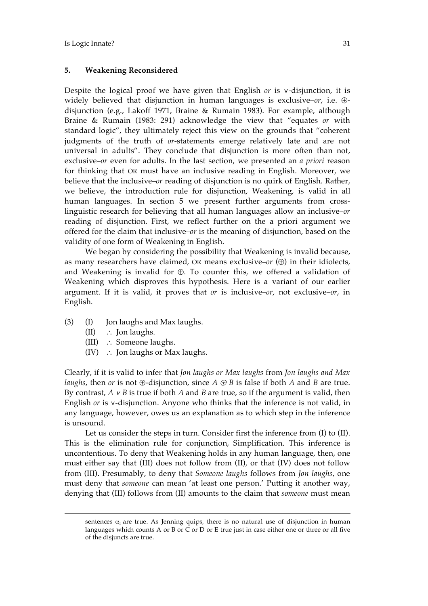## **5. Weakening Reconsidered**

Despite the logical proof we have given that English *or* is ∨-disjunction, it is widely believed that disjunction in human languages is exclusive–*or*, i.e. ⊕ disjunction (e.g., Lakoff 1971, Braine & Rumain 1983). For example, although Braine & Rumain (1983: 291) acknowledge the view that "equates *or* with standard logic", they ultimately reject this view on the grounds that "coherent judgments of the truth of *or-*statements emerge relatively late and are not universal in adults". They conclude that disjunction is more often than not, exclusive–*or* even for adults. In the last section, we presented an *a priori* reason for thinking that OR must have an inclusive reading in English. Moreover, we believe that the inclusive–*or* reading of disjunction is no quirk of English. Rather, we believe, the introduction rule for disjunction, Weakening, is valid in all human languages. In section 5 we present further arguments from crosslinguistic research for believing that all human languages allow an inclusive–*or* reading of disjunction. First, we reflect further on the a priori argument we offered for the claim that inclusive–*or* is the meaning of disjunction, based on the validity of one form of Weakening in English.

We began by considering the possibility that Weakening is invalid because, as many researchers have claimed, OR means exclusive–*or* (⊕) in their idiolects, and Weakening is invalid for ⊕. To counter this, we offered a validation of Weakening which disproves this hypothesis. Here is a variant of our earlier argument. If it is valid, it proves that *or* is inclusive–*or*, not exclusive–*or*, in English.

- (3) (I) Jon laughs and Max laughs.
	- (II) ∴ Jon laughs.

 $\overline{a}$ 

- (III) ∴ Someone laughs.
- (IV)  $\therefore$  Jon laughs or Max laughs.

Clearly, if it is valid to infer that *Jon laughs or Max laughs* from *Jon laughs and Max laughs*, then *or* is not  $\oplus$ -disjunction, since  $A \oplus B$  is false if both  $A$  and  $B$  are true. By contrast, *A* ∨ *B* is true if both *A* and *B* are true, so if the argument is valid, then English *or* is ∨-disjunction. Anyone who thinks that the inference is not valid, in any language, however, owes us an explanation as to which step in the inference is unsound.

Let us consider the steps in turn. Consider first the inference from (I) to (II). This is the elimination rule for conjunction, Simplification. This inference is uncontentious. To deny that Weakening holds in any human language, then, one must either say that (III) does not follow from (II), or that (IV) does not follow from (III). Presumably, to deny that *Someone laughs* follows from *Jon laughs*, one must deny that *someone* can mean 'at least one person.' Putting it another way, denying that (III) follows from (II) amounts to the claim that *someone* must mean

sentences  $\alpha_I$  are true. As Jenning quips, there is no natural use of disjunction in human languages which counts A or B or C or D or E true just in case either one or three or all five of the disjuncts are true.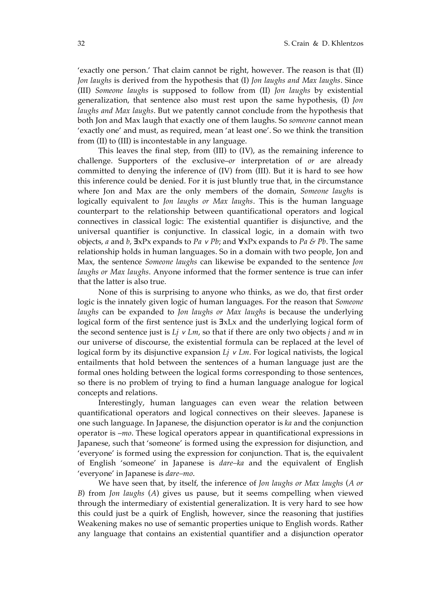'exactly one person.' That claim cannot be right, however. The reason is that (II) *Jon laughs* is derived from the hypothesis that (I) *Jon laughs and Max laughs*. Since (III) *Someone laughs* is supposed to follow from (II) *Jon laughs* by existential generalization, that sentence also must rest upon the same hypothesis, (I) *Jon laughs and Max laughs*. But we patently cannot conclude from the hypothesis that both Jon and Max laugh that exactly one of them laughs. So *someone* cannot mean 'exactly one' and must, as required, mean 'at least one'. So we think the transition from (II) to (III) is incontestable in any language.

This leaves the final step, from (III) to (IV), as the remaining inference to challenge. Supporters of the exclusive–*or* interpretation of *or* are already committed to denying the inference of (IV) from (III). But it is hard to see how this inference could be denied. For it is just bluntly true that, in the circumstance where Jon and Max are the only members of the domain, *Someone laughs* is logically equivalent to *Jon laughs or Max laughs*. This is the human language counterpart to the relationship between quantificational operators and logical connectives in classical logic: The existential quantifier is disjunctive, and the universal quantifier is conjunctive. In classical logic, in a domain with two objects, *a* and *b*, ∃xPx expands to *Pa* ∨ *Pb*; and ∀xPx expands to *Pa & Pb*. The same relationship holds in human languages. So in a domain with two people, Jon and Max, the sentence *Someone laughs* can likewise be expanded to the sentence *Jon laughs or Max laughs*. Anyone informed that the former sentence is true can infer that the latter is also true.

None of this is surprising to anyone who thinks, as we do, that first order logic is the innately given logic of human languages. For the reason that *Someone laughs* can be expanded to *Jon laughs or Max laughs* is because the underlying logical form of the first sentence just is ∃xLx and the underlying logical form of the second sentence just is *Lj* ∨ *Lm*, so that if there are only two objects *j* and *m* in our universe of discourse, the existential formula can be replaced at the level of logical form by its disjunctive expansion *Lj* ∨ *Lm*. For logical nativists, the logical entailments that hold between the sentences of a human language just are the formal ones holding between the logical forms corresponding to those sentences, so there is no problem of trying to find a human language analogue for logical concepts and relations.

Interestingly, human languages can even wear the relation between quantificational operators and logical connectives on their sleeves. Japanese is one such language. In Japanese, the disjunction operator is *ka* and the conjunction operator is –*mo*. These logical operators appear in quantificational expressions in Japanese, such that 'someone' is formed using the expression for disjunction, and 'everyone' is formed using the expression for conjunction. That is, the equivalent of English 'someone' in Japanese is *dare–ka* and the equivalent of English 'everyone' in Japanese is *dare–mo*.

We have seen that, by itself, the inference of *Jon laughs or Max laughs* (*A or B*) from *Jon laughs* (*A*) gives us pause, but it seems compelling when viewed through the intermediary of existential generalization. It is very hard to see how this could just be a quirk of English, however, since the reasoning that justifies Weakening makes no use of semantic properties unique to English words. Rather any language that contains an existential quantifier and a disjunction operator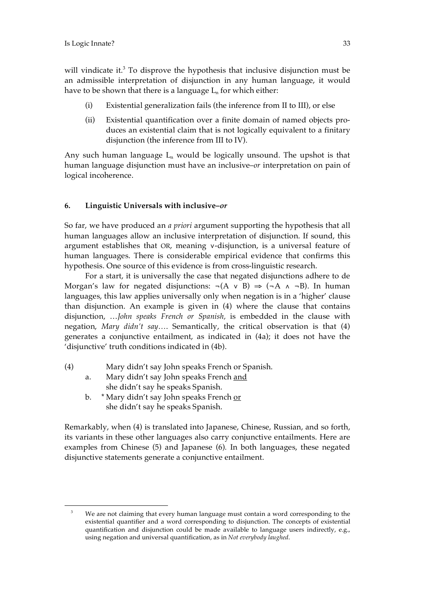$\overline{a}$ 

will vindicate it.<sup>3</sup> To disprove the hypothesis that inclusive disjunction must be an admissible interpretation of disjunction in any human language, it would have to be shown that there is a language  $L_n$  for which either:

- (i) Existential generalization fails (the inference from II to III), or else
- (ii) Existential quantification over a finite domain of named objects produces an existential claim that is not logically equivalent to a finitary disjunction (the inference from III to IV).

Any such human language  $L_n$  would be logically unsound. The upshot is that human language disjunction must have an inclusive–*or* interpretation on pain of logical incoherence.

## **6. Linguistic Universals with inclusive–***or*

So far, we have produced an *a priori* argument supporting the hypothesis that all human languages allow an inclusive interpretation of disjunction. If sound, this argument establishes that OR, meaning ∨-disjunction, is a universal feature of human languages. There is considerable empirical evidence that confirms this hypothesis. One source of this evidence is from cross-linguistic research.

For a start, it is universally the case that negated disjunctions adhere to de Morgan's law for negated disjunctions:  $\neg(A \lor B) \Rightarrow (\neg A \land \neg B)$ . In human languages, this law applies universally only when negation is in a 'higher' clause than disjunction. An example is given in (4) where the clause that contains disjunction, …*John speaks French or Spanish,* is embedded in the clause with negation, *Mary didn't say…*. Semantically, the critical observation is that (4) generates a conjunctive entailment, as indicated in (4a); it does not have the 'disjunctive' truth conditions indicated in (4b).

- (4) Mary didn't say John speaks French or Spanish.
	- a. Mary didn't say John speaks French and she didn't say he speaks Spanish.
	- b. \* Mary didn't say John speaks French or she didn't say he speaks Spanish.

Remarkably, when (4) is translated into Japanese, Chinese, Russian, and so forth, its variants in these other languages also carry conjunctive entailments. Here are examples from Chinese (5) and Japanese (6)*.* In both languages, these negated disjunctive statements generate a conjunctive entailment.

<sup>&</sup>lt;sup>3</sup> We are not claiming that every human language must contain a word corresponding to the existential quantifier and a word corresponding to disjunction. The concepts of existential quantification and disjunction could be made available to language users indirectly, e.g., using negation and universal quantification, as in *Not everybody laughed*.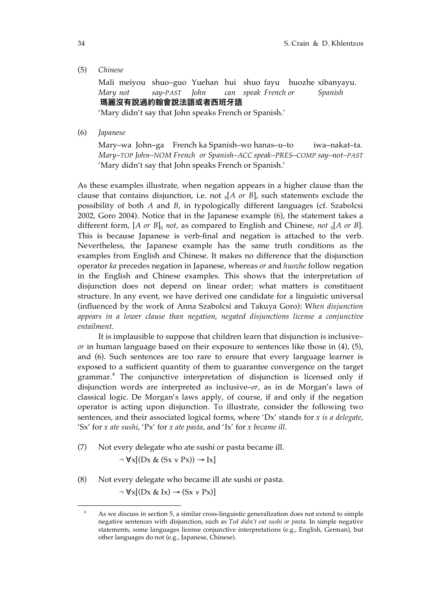(5) *Chinese*

Mali meiyou shuo–guo Yuehan hui shuo fayu huozhe xibanyayu. *Mary not say-PAST John can speak French or Spanish* 瑪麗沒有說過約翰會說法語或者西班牙語

'Mary didn't say that John speaks French or Spanish.'

(6) *Japanese*

Mary–wa John–ga French ka Spanish–wo hanas–u–to iwa–nakat–ta. *Mary–TOP John–NOM French or Spanish–ACC speak–PRES–COMP say–not–PAST* 'Mary didn't say that John speaks French or Spanish.'

As these examples illustrate, when negation appears in a higher clause than the clause that contains disjunction, i.e. not  $s[A \text{ or } B]$ , such statements exclude the possibility of both *A* and *B*, in typologically different languages (cf. Szabolcsi 2002, Goro 2004). Notice that in the Japanese example (6), the statement takes a different form,  $[A \text{ or } B]_S$  *not*, as compared to English and Chinese, *not*  $_S[A \text{ or } B]$ . This is because Japanese is verb-final and negation is attached to the verb. Nevertheless, the Japanese example has the same truth conditions as the examples from English and Chinese. It makes no difference that the disjunction operator *ka* precedes negation in Japanese, whereas *or* and *huozhe* follow negation in the English and Chinese examples. This shows that the interpretation of disjunction does not depend on linear order; what matters is constituent structure. In any event, we have derived one candidate for a linguistic universal (influenced by the work of Anna Szabolcsi and Takuya Goro): W*hen disjunction appears in a lower clause than negation*, *negated disjunctions license a conjunctive entailment*.

It is implausible to suppose that children learn that disjunction is inclusive– *or* in human language based on their exposure to sentences like those in (4), (5), and (6). Such sentences are too rare to ensure that every language learner is exposed to a sufficient quantity of them to guarantee convergence on the target grammar.<sup>4</sup> The conjunctive interpretation of disjunction is licensed only if disjunction words are interpreted as inclusive–*or*, as in de Morgan's laws of classical logic. De Morgan's laws apply, of course, if and only if the negation operator is acting upon disjunction. To illustrate, consider the following two sentences, and their associated logical forms, where 'Dx' stands for *x is a delegate*, 'Sx' for *x ate sushi*, 'Px' for *x ate pasta*, and 'Ix' for *x became ill*.

(7) Not every delegate who ate sushi or pasta became ill.

$$
\neg \forall x [(Dx \& (Sx \lor Px)) \rightarrow Ix]
$$

(8) Not every delegate who became ill ate sushi or pasta.

 $\neg \forall x [(Dx \& Ix) \rightarrow (Sx \vee Px)]$ 

 $\overline{a}$ 

<sup>&</sup>lt;sup>4</sup> As we discuss in section 5, a similar cross-linguistic generalization does not extend to simple negative sentences with disjunction, such as *Ted didn't eat sushi or pasta*. In simple negative statements, some languages license conjunctive interpretations (e.g., English, German), but other languages do not (e.g., Japanese, Chinese).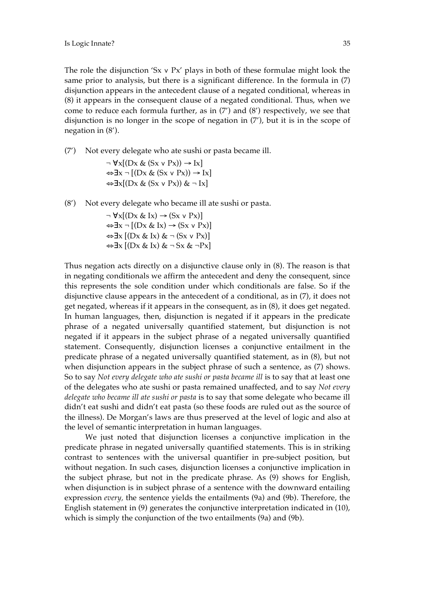The role the disjunction 'Sx v Px' plays in both of these formulae might look the same prior to analysis, but there is a significant difference. In the formula in (7) disjunction appears in the antecedent clause of a negated conditional, whereas in (8) it appears in the consequent clause of a negated conditional. Thus, when we come to reduce each formula further, as in (7') and (8') respectively, we see that disjunction is no longer in the scope of negation in (7'), but it is in the scope of negation in (8').

(7') Not every delegate who ate sushi or pasta became ill.

 $\neg \forall x [(Dx \& (Sx \vee Px)) \rightarrow Ix]$  $\Leftrightarrow$ ∃x ¬ [(Dx & (Sx v Px)) → Ix]  $\Leftrightarrow$ ∃x[(Dx & (Sx v Px)) & ¬ Ix]

(8') Not every delegate who became ill ate sushi or pasta.

 $\neg \forall x [(Dx \& Ix) \rightarrow (Sx \vee Px)]$  $\Leftrightarrow$ ∃x ¬ [(Dx & Ix) → (Sx v Px)]  $\Leftrightarrow$ ∃x  $[(Dx & x & x) & (Sx \vee Px)]$ ⇔∃x [(Dx & Ix) & ¬ Sx & ¬Px]

Thus negation acts directly on a disjunctive clause only in (8). The reason is that in negating conditionals we affirm the antecedent and deny the consequent, since this represents the sole condition under which conditionals are false. So if the disjunctive clause appears in the antecedent of a conditional, as in (7), it does not get negated, whereas if it appears in the consequent, as in (8), it does get negated. In human languages, then, disjunction is negated if it appears in the predicate phrase of a negated universally quantified statement, but disjunction is not negated if it appears in the subject phrase of a negated universally quantified statement. Consequently, disjunction licenses a conjunctive entailment in the predicate phrase of a negated universally quantified statement, as in (8), but not when disjunction appears in the subject phrase of such a sentence, as  $(7)$  shows. So to say *Not every delegate who ate sushi or pasta became ill* is to say that at least one of the delegates who ate sushi or pasta remained unaffected, and to say *Not every delegate who became ill ate sushi or pasta* is to say that some delegate who became ill didn't eat sushi and didn't eat pasta (so these foods are ruled out as the source of the illness). De Morgan's laws are thus preserved at the level of logic and also at the level of semantic interpretation in human languages.

We just noted that disjunction licenses a conjunctive implication in the predicate phrase in negated universally quantified statements. This is in striking contrast to sentences with the universal quantifier in pre-subject position, but without negation. In such cases, disjunction licenses a conjunctive implication in the subject phrase, but not in the predicate phrase. As (9) shows for English, when disjunction is in subject phrase of a sentence with the downward entailing expression *every,* the sentence yields the entailments (9a) and (9b). Therefore, the English statement in (9) generates the conjunctive interpretation indicated in (10), which is simply the conjunction of the two entailments (9a) and (9b).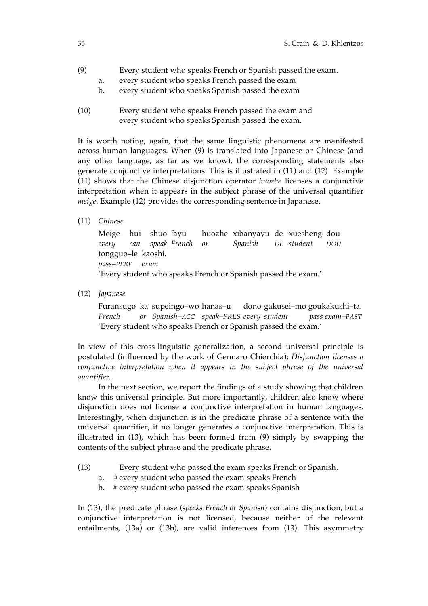- (9) Every student who speaks French or Spanish passed the exam.
	- a. every student who speaks French passed the exam
	- b. every student who speaks Spanish passed the exam
- (10) Every student who speaks French passed the exam and every student who speaks Spanish passed the exam.

It is worth noting, again, that the same linguistic phenomena are manifested across human languages. When (9) is translated into Japanese or Chinese (and any other language, as far as we know), the corresponding statements also generate conjunctive interpretations. This is illustrated in (11) and (12). Example (11) shows that the Chinese disjunction operator *huozhe* licenses a conjunctive interpretation when it appears in the subject phrase of the universal quantifier *meige*. Example (12) provides the corresponding sentence in Japanese.

(11) *Chinese*

Meige hui shuo fayu huozhe xibanyayu de xuesheng dou *every can speak French or Spanish DE student DOU* tongguo–le kaoshi. *pass–PERF exam* 'Every student who speaks French or Spanish passed the exam.'

(12) *Japanese*

Furansugo ka supeingo–wo hanas–u dono gakusei–mo goukakushi–ta. *French or Spanish–ACC speak–PRES every student pass exam–PAST* 'Every student who speaks French or Spanish passed the exam.'

In view of this cross-linguistic generalization, a second universal principle is postulated (influenced by the work of Gennaro Chierchia): *Disjunction licenses a conjunctive interpretation when it appears in the subject phrase of the universal quantifier.*

In the next section, we report the findings of a study showing that children know this universal principle. But more importantly, children also know where disjunction does not license a conjunctive interpretation in human languages. Interestingly, when disjunction is in the predicate phrase of a sentence with the universal quantifier, it no longer generates a conjunctive interpretation. This is illustrated in (13), which has been formed from (9) simply by swapping the contents of the subject phrase and the predicate phrase.

- (13) Every student who passed the exam speaks French or Spanish.
	- a. #every student who passed the exam speaks French
	- b. # every student who passed the exam speaks Spanish

In (13), the predicate phrase (*speaks French or Spanish*) contains disjunction, but a conjunctive interpretation is not licensed, because neither of the relevant entailments, (13a) or (13b), are valid inferences from (13). This asymmetry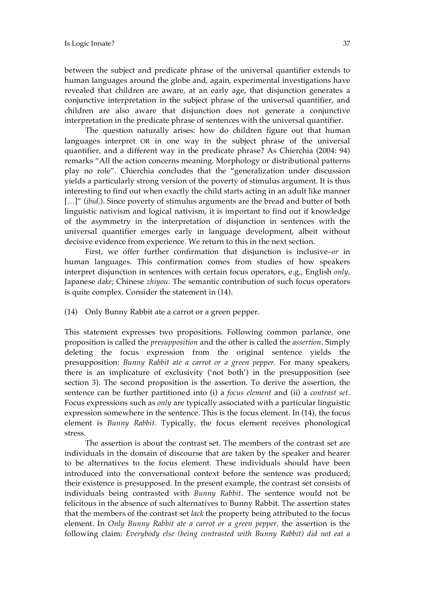between the subject and predicate phrase of the universal quantifier extends to human languages around the globe and, again, experimental investigations have revealed that children are aware, at an early age, that disjunction generates a conjunctive interpretation in the subject phrase of the universal quantifier, and children are also aware that disjunction does not generate a conjunctive interpretation in the predicate phrase of sentences with the universal quantifier.

The question naturally arises: how do children figure out that human languages interpret OR in one way in the subject phrase of the universal quantifier, and a different way in the predicate phrase? As Chierchia (2004: 94) remarks "All the action concerns meaning. Morphology or distributional patterns play no role". Chierchia concludes that the "generalization under discussion yields a particularly strong version of the poverty of stimulus argument. It is thus interesting to find out when exactly the child starts acting in an adult like manner [...]" *(ibid.)*. Since poverty of stimulus arguments are the bread and butter of both linguistic nativism and logical nativism, it is important to find out if knowledge of the asymmetry in the interpretation of disjunction in sentences with the universal quantifier emerges early in language development, albeit without decisive evidence from experience. We return to this in the next section.

First, we offer further confirmation that disjunction is inclusive–*or* in human languages. This confirmation comes from studies of how speakers interpret disjunction in sentences with certain focus operators, e.g., English *only,*  Japanese *dake*; Chinese *zhiyou*. The semantic contribution of such focus operators is quite complex. Consider the statement in (14).

(14) Only Bunny Rabbit ate a carrot or a green pepper.

This statement expresses two propositions. Following common parlance, one proposition is called the *presupposition* and the other is called the *assertion*. Simply deleting the focus expression from the original sentence yields the presupposition: *Bunny Rabbit ate a carrot or a green pepper.* For many speakers, there is an implicature of exclusivity ('not both') in the presupposition (see section 3). The second proposition is the assertion. To derive the assertion, the sentence can be further partitioned into (i) a *focus element* and (ii) a *contrast set*. Focus expressions such as *only* are typically associated with a particular linguistic expression somewhere in the sentence. This is the focus element. In (14), the focus element is *Bunny Rabbit*. Typically, the focus element receives phonological stress.

The assertion is about the contrast set. The members of the contrast set are individuals in the domain of discourse that are taken by the speaker and hearer to be alternatives to the focus element. These individuals should have been introduced into the conversational context before the sentence was produced; their existence is presupposed. In the present example, the contrast set consists of individuals being contrasted with *Bunny Rabbit*. The sentence would not be felicitous in the absence of such alternatives to Bunny Rabbit. The assertion states that the members of the contrast set *lack* the property being attributed to the focus element. In *Only Bunny Rabbit ate a carrot or a green pepper,* the assertion is the following claim: *Everybody else (being contrasted with Bunny Rabbit) did not eat a*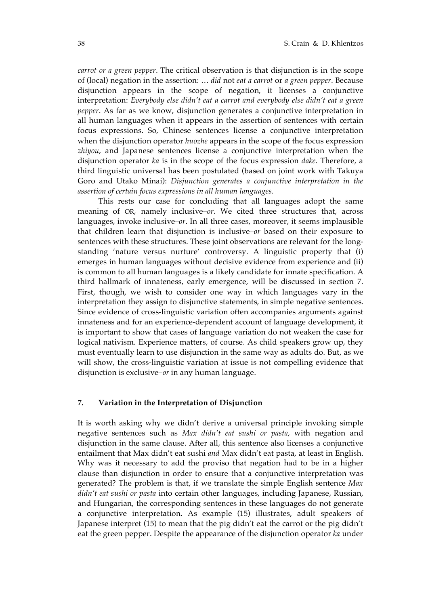*carrot or a green pepper*. The critical observation is that disjunction is in the scope of (local) negation in the assertion: … *did* not *eat a carrot* or *a green pepper*. Because disjunction appears in the scope of negation, it licenses a conjunctive interpretation: *Everybody else didn't eat a carrot and everybody else didn't eat a green pepper*. As far as we know, disjunction generates a conjunctive interpretation in all human languages when it appears in the assertion of sentences with certain focus expressions. So, Chinese sentences license a conjunctive interpretation when the disjunction operator *huozhe* appears in the scope of the focus expression *zhiyou*, and Japanese sentences license a conjunctive interpretation when the disjunction operator *ka* is in the scope of the focus expression *dake*. Therefore, a third linguistic universal has been postulated (based on joint work with Takuya Goro and Utako Minai): *Disjunction generates a conjunctive interpretation in the assertion of certain focus expressions in all human languages.*

This rests our case for concluding that all languages adopt the same meaning of OR, namely inclusive–*or*. We cited three structures that, across languages, invoke inclusive–*or*. In all three cases, moreover, it seems implausible that children learn that disjunction is inclusive–*or* based on their exposure to sentences with these structures. These joint observations are relevant for the longstanding 'nature versus nurture' controversy. A linguistic property that (i) emerges in human languages without decisive evidence from experience and (ii) is common to all human languages is a likely candidate for innate specification. A third hallmark of innateness, early emergence, will be discussed in section 7. First, though, we wish to consider one way in which languages vary in the interpretation they assign to disjunctive statements, in simple negative sentences. Since evidence of cross-linguistic variation often accompanies arguments against innateness and for an experience-dependent account of language development, it is important to show that cases of language variation do not weaken the case for logical nativism. Experience matters, of course. As child speakers grow up, they must eventually learn to use disjunction in the same way as adults do. But, as we will show, the cross-linguistic variation at issue is not compelling evidence that disjunction is exclusive–*or* in any human language.

## **7. Variation in the Interpretation of Disjunction**

It is worth asking why we didn't derive a universal principle invoking simple negative sentences such as *Max didn't eat sushi or pasta*, with negation and disjunction in the same clause. After all, this sentence also licenses a conjunctive entailment that Max didn't eat sushi *and* Max didn't eat pasta, at least in English. Why was it necessary to add the proviso that negation had to be in a higher clause than disjunction in order to ensure that a conjunctive interpretation was generated? The problem is that, if we translate the simple English sentence *Max didn't eat sushi or pasta* into certain other languages, including Japanese, Russian, and Hungarian, the corresponding sentences in these languages do not generate a conjunctive interpretation. As example (15) illustrates, adult speakers of Japanese interpret (15) to mean that the pig didn't eat the carrot or the pig didn't eat the green pepper. Despite the appearance of the disjunction operator *ka* under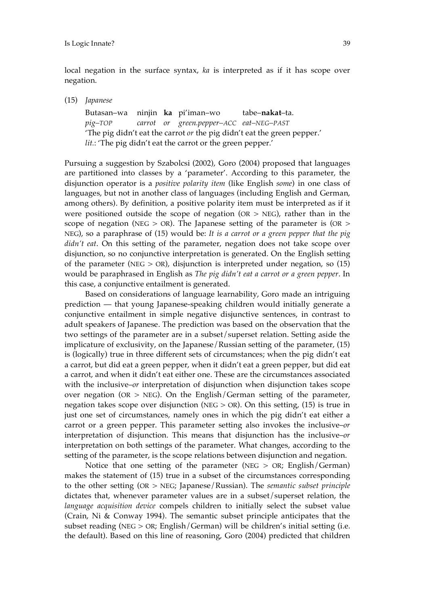local negation in the surface syntax, *ka* is interpreted as if it has scope over negation.

(15) *Japanese*

Butasan–wa ninjin **ka** pi'iman–wo tabe–**nakat**–ta. *pig–TOP carrot or green.pepper–ACC eat–NEG–PAST* 'The pig didn't eat the carrot *or* the pig didn't eat the green pepper.' *lit.*: 'The pig didn't eat the carrot or the green pepper.'

Pursuing a suggestion by Szabolcsi (2002), Goro (2004) proposed that languages are partitioned into classes by a 'parameter'. According to this parameter, the disjunction operator is a *positive polarity item* (like English *some*) in one class of languages, but not in another class of languages (including English and German, among others). By definition, a positive polarity item must be interpreted as if it were positioned outside the scope of negation ( $OR > NEG$ ), rather than in the scope of negation (NEG  $>$  OR). The Japanese setting of the parameter is (OR  $>$ NEG), so a paraphrase of (15) would be: *It is a carrot or a green pepper that the pig didn't eat*. On this setting of the parameter, negation does not take scope over disjunction, so no conjunctive interpretation is generated. On the English setting of the parameter (NEG  $>$  OR), disjunction is interpreted under negation, so (15) would be paraphrased in English as *The pig didn't eat a carrot or a green pepper*. In this case, a conjunctive entailment is generated.

Based on considerations of language learnability, Goro made an intriguing prediction — that young Japanese-speaking children would initially generate a conjunctive entailment in simple negative disjunctive sentences, in contrast to adult speakers of Japanese. The prediction was based on the observation that the two settings of the parameter are in a subset/superset relation. Setting aside the implicature of exclusivity, on the Japanese/Russian setting of the parameter, (15) is (logically) true in three different sets of circumstances; when the pig didn't eat a carrot, but did eat a green pepper, when it didn't eat a green pepper, but did eat a carrot, and when it didn't eat either one. These are the circumstances associated with the inclusive–*or* interpretation of disjunction when disjunction takes scope over negation (OR > NEG). On the English/German setting of the parameter, negation takes scope over disjunction (NEG  $>$  OR). On this setting, (15) is true in just one set of circumstances, namely ones in which the pig didn't eat either a carrot or a green pepper. This parameter setting also invokes the inclusive–*or* interpretation of disjunction. This means that disjunction has the inclusive–*or* interpretation on both settings of the parameter. What changes, according to the setting of the parameter, is the scope relations between disjunction and negation.

Notice that one setting of the parameter (NEG  $>$  OR; English/German) makes the statement of (15) true in a subset of the circumstances corresponding to the other setting (OR > NEG; Japanese/Russian). The *semantic subset principle* dictates that, whenever parameter values are in a subset/superset relation, the *language acquisition device* compels children to initially select the subset value (Crain, Ni & Conway 1994). The semantic subset principle anticipates that the subset reading (NEG > OR; English/German) will be children's initial setting (i.e. the default). Based on this line of reasoning, Goro (2004) predicted that children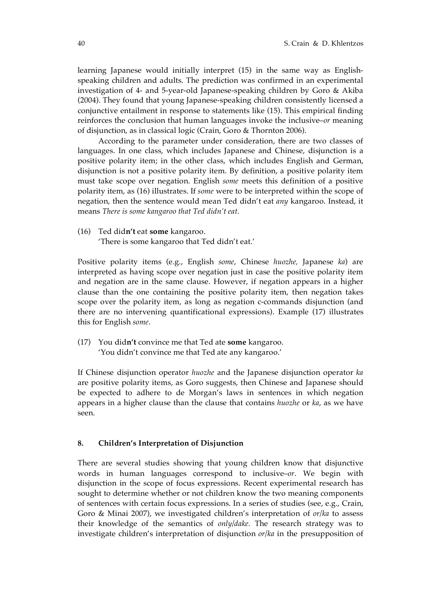learning Japanese would initially interpret (15) in the same way as Englishspeaking children and adults. The prediction was confirmed in an experimental investigation of 4- and 5-year-old Japanese-speaking children by Goro & Akiba (2004). They found that young Japanese-speaking children consistently licensed a conjunctive entailment in response to statements like (15). This empirical finding reinforces the conclusion that human languages invoke the inclusive–*or* meaning of disjunction, as in classical logic (Crain, Goro & Thornton 2006).

According to the parameter under consideration, there are two classes of languages. In one class, which includes Japanese and Chinese, disjunction is a positive polarity item; in the other class, which includes English and German, disjunction is not a positive polarity item. By definition, a positive polarity item must take scope over negation. English *some* meets this definition of a positive polarity item, as (16) illustrates. If *some* were to be interpreted within the scope of negation, then the sentence would mean Ted didn't eat *any* kangaroo. Instead, it means *There is some kangaroo that Ted didn't eat*.

(16) Ted did**n't** eat **some** kangaroo. 'There is some kangaroo that Ted didn't eat.'

Positive polarity items (e.g., English *some*, Chinese *huozhe,* Japanese *ka*) are interpreted as having scope over negation just in case the positive polarity item and negation are in the same clause. However, if negation appears in a higher clause than the one containing the positive polarity item, then negation takes scope over the polarity item, as long as negation c-commands disjunction (and there are no intervening quantificational expressions). Example (17) illustrates this for English *some*.

(17) You did**n't** convince me that Ted ate **some** kangaroo. 'You didn't convince me that Ted ate any kangaroo.'

If Chinese disjunction operator *huozhe* and the Japanese disjunction operator *ka* are positive polarity items, as Goro suggests, then Chinese and Japanese should be expected to adhere to de Morgan's laws in sentences in which negation appears in a higher clause than the clause that contains *huozhe* or *ka*, as we have seen.

## **8. Children's Interpretation of Disjunction**

There are several studies showing that young children know that disjunctive words in human languages correspond to inclusive–*or*. We begin with disjunction in the scope of focus expressions. Recent experimental research has sought to determine whether or not children know the two meaning components of sentences with certain focus expressions. In a series of studies (see, e.g., Crain, Goro & Minai 2007), we investigated children's interpretation of *or/ka* to assess their knowledge of the semantics of *only/dake.* The research strategy was to investigate children's interpretation of disjunction *or/ka* in the presupposition of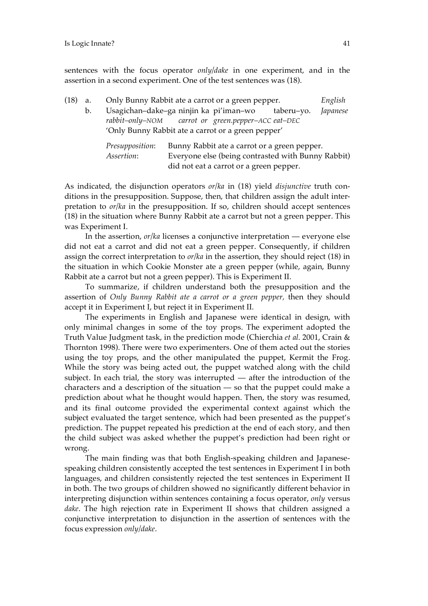sentences with the focus operator *only/dake* in one experiment, and in the assertion in a second experiment. One of the test sentences was (18).

| (18) | a. | Only Bunny Rabbit ate a carrot or a green pepper.  |                                                    |  |            | English  |  |  |
|------|----|----------------------------------------------------|----------------------------------------------------|--|------------|----------|--|--|
|      | b. | Usagichan-dake-ga ninjin ka pi'iman-wo             |                                                    |  | taberu-yo. | Japanese |  |  |
|      |    | rabbit-only-NOM carrot or green.pepper-ACC eat-DEC |                                                    |  |            |          |  |  |
|      |    | 'Only Bunny Rabbit ate a carrot or a green pepper' |                                                    |  |            |          |  |  |
|      |    | <i>Presupposition:</i>                             | Bunny Rabbit ate a carrot or a green pepper.       |  |            |          |  |  |
|      |    | Assertion:                                         | Everyone else (being contrasted with Bunny Rabbit) |  |            |          |  |  |
|      |    |                                                    | did not eat a carrot or a green pepper.            |  |            |          |  |  |

As indicated, the disjunction operators *or/ka* in (18) yield *disjunctive* truth conditions in the presupposition. Suppose, then, that children assign the adult interpretation to *or/ka* in the presupposition. If so, children should accept sentences (18) in the situation where Bunny Rabbit ate a carrot but not a green pepper. This was Experiment I.

In the assertion, *or/ka* licenses a conjunctive interpretation — everyone else did not eat a carrot and did not eat a green pepper. Consequently, if children assign the correct interpretation to *or/ka* in the assertion, they should reject (18) in the situation in which Cookie Monster ate a green pepper (while, again, Bunny Rabbit ate a carrot but not a green pepper). This is Experiment II.

To summarize, if children understand both the presupposition and the assertion of *Only Bunny Rabbit ate a carrot or a green pepper,* then they should accept it in Experiment I, but reject it in Experiment II.

The experiments in English and Japanese were identical in design, with only minimal changes in some of the toy props. The experiment adopted the Truth Value Judgment task, in the prediction mode (Chierchia *et al.* 2001, Crain & Thornton 1998). There were two experimenters. One of them acted out the stories using the toy props, and the other manipulated the puppet, Kermit the Frog. While the story was being acted out, the puppet watched along with the child subject. In each trial, the story was interrupted — after the introduction of the characters and a description of the situation — so that the puppet could make a prediction about what he thought would happen. Then, the story was resumed, and its final outcome provided the experimental context against which the subject evaluated the target sentence, which had been presented as the puppet's prediction. The puppet repeated his prediction at the end of each story, and then the child subject was asked whether the puppet's prediction had been right or wrong.

The main finding was that both English-speaking children and Japanesespeaking children consistently accepted the test sentences in Experiment I in both languages, and children consistently rejected the test sentences in Experiment II in both. The two groups of children showed no significantly different behavior in interpreting disjunction within sentences containing a focus operator, *only* versus *dake*. The high rejection rate in Experiment II shows that children assigned a conjunctive interpretation to disjunction in the assertion of sentences with the focus expression *only/dake*.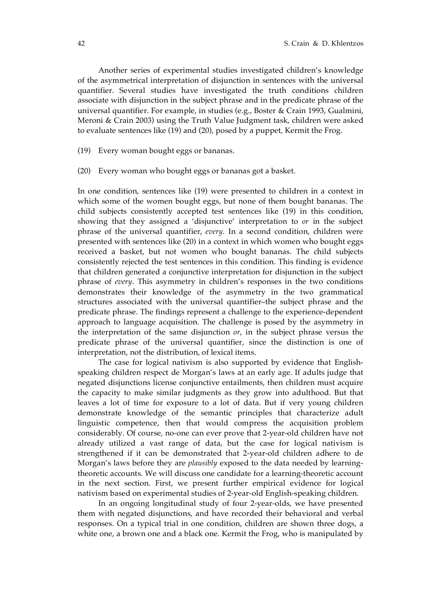Another series of experimental studies investigated children's knowledge of the asymmetrical interpretation of disjunction in sentences with the universal quantifier. Several studies have investigated the truth conditions children associate with disjunction in the subject phrase and in the predicate phrase of the universal quantifier. For example, in studies (e.g., Boster & Crain 1993, Gualmini, Meroni & Crain 2003) using the Truth Value Judgment task, children were asked to evaluate sentences like (19) and (20), posed by a puppet, Kermit the Frog.

- (19) Every woman bought eggs or bananas.
- (20) Every woman who bought eggs or bananas got a basket.

In one condition, sentences like (19) were presented to children in a context in which some of the women bought eggs, but none of them bought bananas. The child subjects consistently accepted test sentences like (19) in this condition, showing that they assigned a 'disjunctive' interpretation to *or* in the subject phrase of the universal quantifier, *every*. In a second condition, children were presented with sentences like (20) in a context in which women who bought eggs received a basket, but not women who bought bananas. The child subjects consistently rejected the test sentences in this condition. This finding is evidence that children generated a conjunctive interpretation for disjunction in the subject phrase of *every*. This asymmetry in children's responses in the two conditions demonstrates their knowledge of the asymmetry in the two grammatical structures associated with the universal quantifier–the subject phrase and the predicate phrase. The findings represent a challenge to the experience-dependent approach to language acquisition. The challenge is posed by the asymmetry in the interpretation of the same disjunction *or*, in the subject phrase versus the predicate phrase of the universal quantifier, since the distinction is one of interpretation, not the distribution, of lexical items.

The case for logical nativism is also supported by evidence that Englishspeaking children respect de Morgan's laws at an early age. If adults judge that negated disjunctions license conjunctive entailments, then children must acquire the capacity to make similar judgments as they grow into adulthood. But that leaves a lot of time for exposure to a lot of data. But if very young children demonstrate knowledge of the semantic principles that characterize adult linguistic competence, then that would compress the acquisition problem considerably. Of course, no-one can ever prove that 2-year-old children have not already utilized a vast range of data, but the case for logical nativism is strengthened if it can be demonstrated that 2-year-old children adhere to de Morgan's laws before they are *plausibly* exposed to the data needed by learningtheoretic accounts. We will discuss one candidate for a learning-theoretic account in the next section. First, we present further empirical evidence for logical nativism based on experimental studies of 2-year-old English-speaking children.

In an ongoing longitudinal study of four 2-year-olds, we have presented them with negated disjunctions, and have recorded their behavioral and verbal responses. On a typical trial in one condition, children are shown three dogs, a white one, a brown one and a black one. Kermit the Frog, who is manipulated by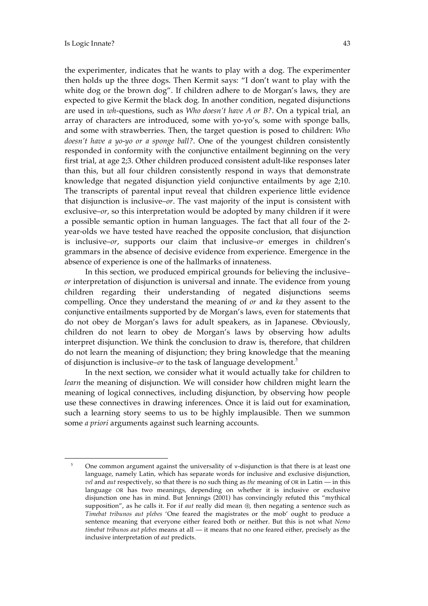$\overline{a}$ 

the experimenter, indicates that he wants to play with a dog. The experimenter then holds up the three dogs. Then Kermit says: "I don't want to play with the white dog or the brown dog". If children adhere to de Morgan's laws, they are expected to give Kermit the black dog. In another condition, negated disjunctions are used in *wh*-questions, such as *Who doesn't have A or B?*. On a typical trial, an array of characters are introduced, some with yo-yo's, some with sponge balls, and some with strawberries. Then, the target question is posed to children: *Who doesn't have a yo-yo or a sponge ball?*. One of the youngest children consistently responded in conformity with the conjunctive entailment beginning on the very first trial, at age 2;3. Other children produced consistent adult-like responses later than this, but all four children consistently respond in ways that demonstrate knowledge that negated disjunction yield conjunctive entailments by age 2;10. The transcripts of parental input reveal that children experience little evidence that disjunction is inclusive–*or*. The vast majority of the input is consistent with exclusive–*or*, so this interpretation would be adopted by many children if it were a possible semantic option in human languages. The fact that all four of the 2 year-olds we have tested have reached the opposite conclusion, that disjunction is inclusive–*or*, supports our claim that inclusive–*or* emerges in children's grammars in the absence of decisive evidence from experience. Emergence in the absence of experience is one of the hallmarks of innateness.

In this section, we produced empirical grounds for believing the inclusive– *or* interpretation of disjunction is universal and innate. The evidence from young children regarding their understanding of negated disjunctions seems compelling. Once they understand the meaning of *or* and *ka* they assent to the conjunctive entailments supported by de Morgan's laws, even for statements that do not obey de Morgan's laws for adult speakers, as in Japanese. Obviously, children do not learn to obey de Morgan's laws by observing how adults interpret disjunction. We think the conclusion to draw is, therefore, that children do not learn the meaning of disjunction; they bring knowledge that the meaning of disjunction is inclusive–*or* to the task of language development.<sup>5</sup>

In the next section, we consider what it would actually take for children to *learn* the meaning of disjunction. We will consider how children might learn the meaning of logical connectives, including disjunction, by observing how people use these connectives in drawing inferences. Once it is laid out for examination, such a learning story seems to us to be highly implausible. Then we summon some *a priori* arguments against such learning accounts.

<sup>5</sup> One common argument against the universality of ∨-disjunction is that there is at least one language, namely Latin, which has separate words for inclusive and exclusive disjunction, *vel* and *aut* respectively, so that there is no such thing as *the* meaning of OR in Latin — in this language OR has two meanings, depending on whether it is inclusive or exclusive disjunction one has in mind. But Jennings (2001) has convincingly refuted this "mythical supposition", as he calls it. For if *aut* really did mean ⊕, then negating a sentence such as *Timebat tribunos aut plebes* 'One feared the magistrates or the mob' ought to produce a sentence meaning that everyone either feared both or neither. But this is not what *Nemo timebat tribunos aut plebes* means at all — it means that no one feared either, precisely as the inclusive interpretation of *aut* predicts.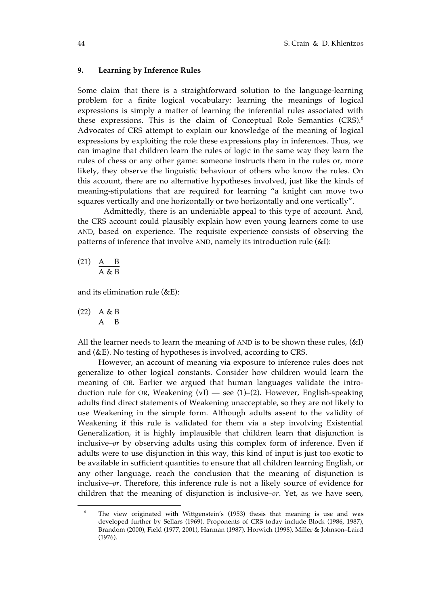## **9. Learning by Inference Rules**

Some claim that there is a straightforward solution to the language-learning problem for a finite logical vocabulary: learning the meanings of logical expressions is simply a matter of learning the inferential rules associated with these expressions. This is the claim of Conceptual Role Semantics  $(CRS)$ <sup>6</sup> Advocates of CRS attempt to explain our knowledge of the meaning of logical expressions by exploiting the role these expressions play in inferences. Thus, we can imagine that children learn the rules of logic in the same way they learn the rules of chess or any other game: someone instructs them in the rules or, more likely, they observe the linguistic behaviour of others who know the rules. On this account, there are no alternative hypotheses involved, just like the kinds of meaning-stipulations that are required for learning "a knight can move two squares vertically and one horizontally or two horizontally and one vertically".

Admittedly, there is an undeniable appeal to this type of account. And, the CRS account could plausibly explain how even young learners come to use AND, based on experience. The requisite experience consists of observing the patterns of inference that involve AND, namely its introduction rule (&I):

(21)  $A \t B$  $\overline{A \& B}$ 

and its elimination rule  $(\&E)$ :

$$
\begin{array}{cc}\n\text{(22)} & \frac{\text{A} \& \text{B}}{\text{A} & \text{B}} \\
\end{array}
$$

 $\overline{a}$ 

All the learner needs to learn the meaning of AND is to be shown these rules, (&I) and (&E). No testing of hypotheses is involved, according to CRS.

However, an account of meaning via exposure to inference rules does not generalize to other logical constants. Consider how children would learn the meaning of OR. Earlier we argued that human languages validate the introduction rule for OR, Weakening (∨I) — see (1)–(2). However, English-speaking adults find direct statements of Weakening unacceptable, so they are not likely to use Weakening in the simple form. Although adults assent to the validity of Weakening if this rule is validated for them via a step involving Existential Generalization, it is highly implausible that children learn that disjunction is inclusive–*or* by observing adults using this complex form of inference. Even if adults were to use disjunction in this way, this kind of input is just too exotic to be available in sufficient quantities to ensure that all children learning English, or any other language, reach the conclusion that the meaning of disjunction is inclusive–*or*. Therefore, this inference rule is not a likely source of evidence for children that the meaning of disjunction is inclusive–*or*. Yet, as we have seen,

The view originated with Wittgenstein's (1953) thesis that meaning is use and was developed further by Sellars (1969). Proponents of CRS today include Block (1986, 1987), Brandom (2000), Field (1977, 2001), Harman (1987), Horwich (1998), Miller & Johnson–Laird (1976).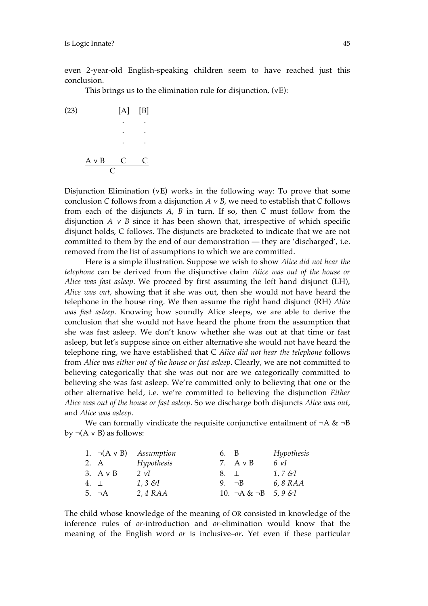even 2-year-old English-speaking children seem to have reached just this conclusion.

This brings us to the elimination rule for disjunction, (∨E):



Disjunction Elimination (∨E) works in the following way: To prove that some conclusion *C* follows from a disjunction *A* ∨ *B*, we need to establish that *C* follows from each of the disjuncts *A*, *B* in turn. If so, then *C* must follow from the disjunction  $A \vee B$  since it has been shown that, irrespective of which specific disjunct holds, C follows. The disjuncts are bracketed to indicate that we are not committed to them by the end of our demonstration — they are 'discharged', i.e. removed from the list of assumptions to which we are committed.

Here is a simple illustration. Suppose we wish to show *Alice did not hear the telephone* can be derived from the disjunctive claim *Alice was out of the house or Alice was fast asleep*. We proceed by first assuming the left hand disjunct (LH), *Alice was out*, showing that if she was out, then she would not have heard the telephone in the house ring. We then assume the right hand disjunct (RH) *Alice was fast asleep*. Knowing how soundly Alice sleeps, we are able to derive the conclusion that she would not have heard the phone from the assumption that she was fast asleep. We don't know whether she was out at that time or fast asleep, but let's suppose since on either alternative she would not have heard the telephone ring, we have established that C *Alice did not hear the telephone* follows from *Alice was either out of the house or fast asleep*. Clearly, we are not committed to believing categorically that she was out nor are we categorically committed to believing she was fast asleep. We're committed only to believing that one or the other alternative held, i.e. we're committed to believing the disjunction *Either Alice was out of the house or fast asleep*. So we discharge both disjuncts *Alice was out*, and *Alice was asleep*.

We can formally vindicate the requisite conjunctive entailment of  $\neg A \& \neg B$ by  $\neg(A \lor B)$  as follows:

| 1. $\neg(A \vee B)$ | Assumption              | 6. B       |                                 | Hypothesis |
|---------------------|-------------------------|------------|---------------------------------|------------|
| 2. A                | Hypothesis              |            | 7. $A \vee B$                   | 6 vI       |
| $3. A \vee B$       | 2 vI                    | $8. \perp$ |                                 | 1, 7 &I    |
| 4. $\perp$          | $1, 3 \; \mathcal{S}$ I |            | 9. $\neg B$                     | 6, 8 RAA   |
| 5. $\neg A$         | 2, 4 RAA                |            | 10. $\neg A \& \neg B$ 5, 9 & I |            |

The child whose knowledge of the meaning of OR consisted in knowledge of the inference rules of *or*-introduction and *or*-elimination would know that the meaning of the English word *or* is inclusive–*or*. Yet even if these particular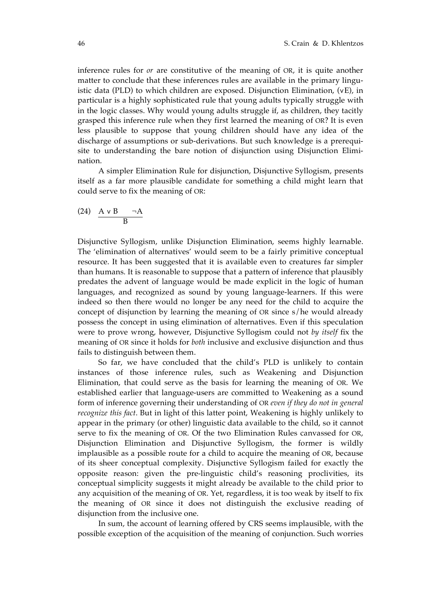inference rules for *or* are constitutive of the meaning of OR, it is quite another matter to conclude that these inferences rules are available in the primary linguistic data (PLD) to which children are exposed. Disjunction Elimination, (∨E), in particular is a highly sophisticated rule that young adults typically struggle with in the logic classes. Why would young adults struggle if, as children, they tacitly grasped this inference rule when they first learned the meaning of OR? It is even less plausible to suppose that young children should have any idea of the discharge of assumptions or sub-derivations. But such knowledge is a prerequisite to understanding the bare notion of disjunction using Disjunction Elimination.

A simpler Elimination Rule for disjunction, Disjunctive Syllogism, presents itself as a far more plausible candidate for something a child might learn that could serve to fix the meaning of OR:

$$
\begin{array}{cc}\n\text{(24)} & A \lor B & \neg A \\
\hline\nB\n\end{array}
$$

Disjunctive Syllogism, unlike Disjunction Elimination, seems highly learnable. The 'elimination of alternatives' would seem to be a fairly primitive conceptual resource. It has been suggested that it is available even to creatures far simpler than humans. It is reasonable to suppose that a pattern of inference that plausibly predates the advent of language would be made explicit in the logic of human languages, and recognized as sound by young language-learners. If this were indeed so then there would no longer be any need for the child to acquire the concept of disjunction by learning the meaning of OR since s/he would already possess the concept in using elimination of alternatives. Even if this speculation were to prove wrong, however, Disjunctive Syllogism could not *by itself* fix the meaning of OR since it holds for *both* inclusive and exclusive disjunction and thus fails to distinguish between them.

So far, we have concluded that the child's PLD is unlikely to contain instances of those inference rules, such as Weakening and Disjunction Elimination, that could serve as the basis for learning the meaning of OR. We established earlier that language-users are committed to Weakening as a sound form of inference governing their understanding of OR *even if they do not in general recognize this fact*. But in light of this latter point, Weakening is highly unlikely to appear in the primary (or other) linguistic data available to the child, so it cannot serve to fix the meaning of OR. Of the two Elimination Rules canvassed for OR, Disjunction Elimination and Disjunctive Syllogism, the former is wildly implausible as a possible route for a child to acquire the meaning of OR, because of its sheer conceptual complexity. Disjunctive Syllogism failed for exactly the opposite reason: given the pre-linguistic child's reasoning proclivities, its conceptual simplicity suggests it might already be available to the child prior to any acquisition of the meaning of OR. Yet, regardless, it is too weak by itself to fix the meaning of OR since it does not distinguish the exclusive reading of disjunction from the inclusive one.

In sum, the account of learning offered by CRS seems implausible, with the possible exception of the acquisition of the meaning of conjunction. Such worries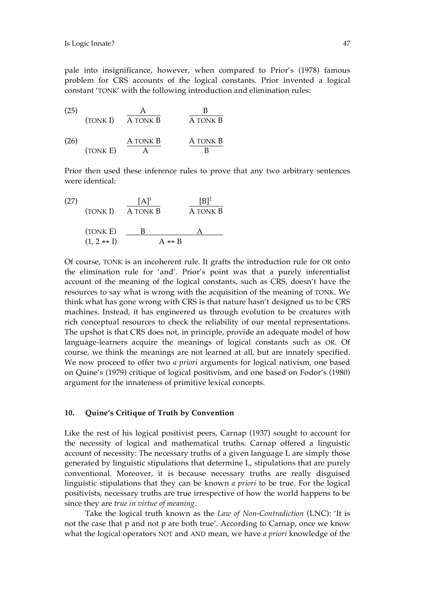pale into insignificance, however, when compared to Prior's (1978) famous problem for CRS accounts of the logical constants. Prior invented a logical constant 'TONK' with the following introduction and elimination rules:

(25) 
$$
\frac{A}{A \text{ TONK } B} \qquad \frac{B}{A \text{ TONK } B}
$$

(26) 
$$
\frac{A \text{ TONK } B}{A} \qquad \frac{A \text{ TONK } B}{B}
$$

Prior then used these inference rules to prove that any two arbitrary sentences were identical:

(27)  
\n(TONK I) 
$$
\overline{A} \overline{TONK} B
$$
  $\overline{A} \overline{TONK} B$   
\n(TONK E)  $\underline{B}$   $\underline{A}$   
\n $(1, 2 \leftrightarrow 1)$   $\overline{A} \leftrightarrow B$ 

Of course, TONK is an incoherent rule. It grafts the introduction rule for OR onto the elimination rule for 'and'. Prior's point was that a purely inferentialist account of the meaning of the logical constants, such as CRS, doesn't have the resources to say what is wrong with the acquisition of the meaning of TONK. We think what has gone wrong with CRS is that nature hasn't designed us to be CRS machines. Instead, it has engineered us through evolution to be creatures with rich conceptual resources to check the reliability of our mental representations. The upshot is that CRS does not, in principle, provide an adequate model of how language-learners acquire the meanings of logical constants such as OR. Of course, we think the meanings are not learned at all, but are innately specified. We now proceed to offer two *a priori* arguments for logical nativism, one based on Quine's (1979) critique of logical positivism, and one based on Fodor's (1980) argument for the innateness of primitive lexical concepts.

## **10. Quine's Critique of Truth by Convention**

Like the rest of his logical positivist peers, Carnap (1937) sought to account for the necessity of logical and mathematical truths. Carnap offered a linguistic account of necessity: The necessary truths of a given language L are simply those generated by linguistic stipulations that determine L, stipulations that are purely conventional. Moreover, it is because necessary truths are really disguised linguistic stipulations that they can be known *a priori* to be true. For the logical positivists, necessary truths are true irrespective of how the world happens to be since they are *true in virtue of meaning*.

Take the logical truth known as the *Law of Non-Contradiction* (LNC): 'It is not the case that p and not p are both true'. According to Carnap, once we know what the logical operators NOT and AND mean, we have *a priori* knowledge of the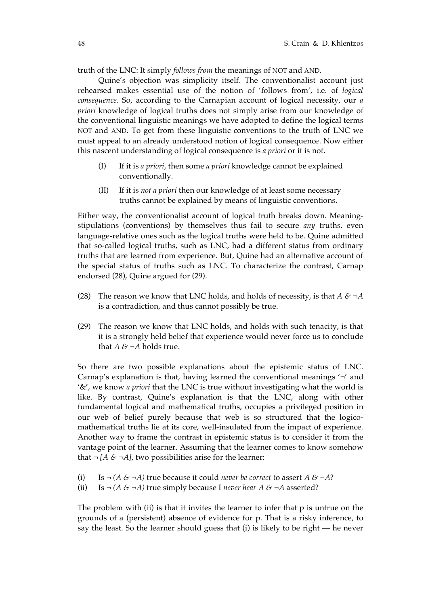truth of the LNC: It simply *follows from* the meanings of NOT and AND.

Quine's objection was simplicity itself. The conventionalist account just rehearsed makes essential use of the notion of 'follows from', i.e. of *logical consequence*. So, according to the Carnapian account of logical necessity, our *a priori* knowledge of logical truths does not simply arise from our knowledge of the conventional linguistic meanings we have adopted to define the logical terms NOT and AND. To get from these linguistic conventions to the truth of LNC we must appeal to an already understood notion of logical consequence. Now either this nascent understanding of logical consequence is *a priori* or it is not.

- (I) If it is *a priori*, then some *a priori* knowledge cannot be explained conventionally.
- (II) If it is *not a priori* then our knowledge of at least some necessary truths cannot be explained by means of linguistic conventions.

Either way, the conventionalist account of logical truth breaks down. Meaningstipulations (conventions) by themselves thus fail to secure *any* truths, even language-relative ones such as the logical truths were held to be. Quine admitted that so-called logical truths, such as LNC, had a different status from ordinary truths that are learned from experience. But, Quine had an alternative account of the special status of truths such as LNC. To characterize the contrast, Carnap endorsed (28), Quine argued for (29).

- (28) The reason we know that LNC holds, and holds of necessity, is that  $A \& \neg A$ is a contradiction, and thus cannot possibly be true.
- (29) The reason we know that LNC holds, and holds with such tenacity, is that it is a strongly held belief that experience would never force us to conclude that  $A \& \neg A$  holds true.

So there are two possible explanations about the epistemic status of LNC. Carnap's explanation is that, having learned the conventional meanings  $\sim$  and '&', we know *a priori* that the LNC is true without investigating what the world is like. By contrast, Quine's explanation is that the LNC, along with other fundamental logical and mathematical truths, occupies a privileged position in our web of belief purely because that web is so structured that the logicomathematical truths lie at its core, well-insulated from the impact of experience. Another way to frame the contrast in epistemic status is to consider it from the vantage point of the learner. Assuming that the learner comes to know somehow that  $\neg$  [*A & ¬A*], two possibilities arise for the learner:

- (i) Is  $\neg$  (*A & ¬A*) true because it could *never be correct* to assert *A & ¬A*?
- (ii) Is  $\neg$  (*A & ¬A*) true simply because I *never hear A & ¬A* asserted?

The problem with  $(ii)$  is that it invites the learner to infer that  $p$  is untrue on the grounds of a (persistent) absence of evidence for p. That is a risky inference, to say the least. So the learner should guess that (i) is likely to be right — he never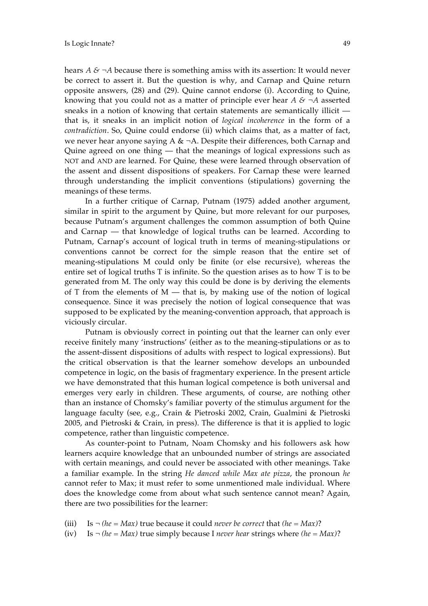hears *A & ¬A* because there is something amiss with its assertion: It would never be correct to assert it. But the question is why, and Carnap and Quine return opposite answers, (28) and (29). Quine cannot endorse (i). According to Quine, knowing that you could not as a matter of principle ever hear *A & ¬A* asserted sneaks in a notion of knowing that certain statements are semantically illicit that is, it sneaks in an implicit notion of *logical incoherence* in the form of a *contradiction*. So, Quine could endorse (ii) which claims that, as a matter of fact, we never hear anyone saying A  $\& \neg A$ . Despite their differences, both Carnap and Quine agreed on one thing — that the meanings of logical expressions such as NOT and AND are learned. For Quine, these were learned through observation of the assent and dissent dispositions of speakers. For Carnap these were learned through understanding the implicit conventions (stipulations) governing the meanings of these terms.

In a further critique of Carnap, Putnam (1975) added another argument, similar in spirit to the argument by Quine, but more relevant for our purposes, because Putnam's argument challenges the common assumption of both Quine and Carnap — that knowledge of logical truths can be learned. According to Putnam, Carnap's account of logical truth in terms of meaning-stipulations or conventions cannot be correct for the simple reason that the entire set of meaning-stipulations M could only be finite (or else recursive), whereas the entire set of logical truths T is infinite. So the question arises as to how T is to be generated from M. The only way this could be done is by deriving the elements of T from the elements of  $M$  — that is, by making use of the notion of logical consequence. Since it was precisely the notion of logical consequence that was supposed to be explicated by the meaning-convention approach, that approach is viciously circular.

Putnam is obviously correct in pointing out that the learner can only ever receive finitely many 'instructions' (either as to the meaning-stipulations or as to the assent-dissent dispositions of adults with respect to logical expressions). But the critical observation is that the learner somehow develops an unbounded competence in logic, on the basis of fragmentary experience. In the present article we have demonstrated that this human logical competence is both universal and emerges very early in children. These arguments, of course, are nothing other than an instance of Chomsky's familiar poverty of the stimulus argument for the language faculty (see, e.g., Crain & Pietroski 2002, Crain, Gualmini & Pietroski 2005, and Pietroski & Crain, in press). The difference is that it is applied to logic competence, rather than linguistic competence.

As counter-point to Putnam, Noam Chomsky and his followers ask how learners acquire knowledge that an unbounded number of strings are associated with certain meanings, and could never be associated with other meanings. Take a familiar example. In the string *He danced while Max ate pizza*, the pronoun *he* cannot refer to Max; it must refer to some unmentioned male individual. Where does the knowledge come from about what such sentence cannot mean? Again, there are two possibilities for the learner:

- (iii) Is *¬ (he = Max)* true because it could *never be correct* that *(he = Max)*?
- (iv) Is *¬ (he = Max)* true simply because I *never hear* strings where *(he = Max)*?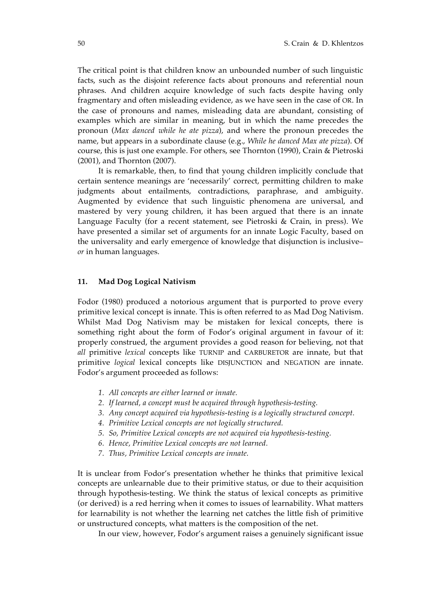The critical point is that children know an unbounded number of such linguistic facts, such as the disjoint reference facts about pronouns and referential noun phrases. And children acquire knowledge of such facts despite having only fragmentary and often misleading evidence, as we have seen in the case of OR. In the case of pronouns and names, misleading data are abundant, consisting of examples which are similar in meaning, but in which the name precedes the pronoun (*Max danced while he ate pizza*), and where the pronoun precedes the name, but appears in a subordinate clause (e.g., *While he danced Max ate pizza*). Of course, this is just one example. For others, see Thornton (1990), Crain & Pietroski (2001), and Thornton (2007).

It is remarkable, then, to find that young children implicitly conclude that certain sentence meanings are 'necessarily' correct, permitting children to make judgments about entailments, contradictions, paraphrase, and ambiguity. Augmented by evidence that such linguistic phenomena are universal, and mastered by very young children, it has been argued that there is an innate Language Faculty (for a recent statement, see Pietroski & Crain, in press). We have presented a similar set of arguments for an innate Logic Faculty, based on the universality and early emergence of knowledge that disjunction is inclusive– *or* in human languages.

## **11. Mad Dog Logical Nativism**

Fodor (1980) produced a notorious argument that is purported to prove every primitive lexical concept is innate. This is often referred to as Mad Dog Nativism. Whilst Mad Dog Nativism may be mistaken for lexical concepts, there is something right about the form of Fodor's original argument in favour of it: properly construed, the argument provides a good reason for believing, not that *all* primitive *lexical* concepts like TURNIP and CARBURETOR are innate, but that primitive *logical* lexical concepts like DISJUNCTION and NEGATION are innate. Fodor's argument proceeded as follows:

- *1. All concepts are either learned or innate.*
- *2. If learned, a concept must be acquired through hypothesis-testing.*
- *3. Any concept acquired via hypothesis-testing is a logically structured concept.*
- *4. Primitive Lexical concepts are not logically structured.*
- *5. So, Primitive Lexical concepts are not acquired via hypothesis-testing.*
- *6. Hence, Primitive Lexical concepts are not learned.*
- *7. Thus, Primitive Lexical concepts are innate.*

It is unclear from Fodor's presentation whether he thinks that primitive lexical concepts are unlearnable due to their primitive status, or due to their acquisition through hypothesis-testing. We think the status of lexical concepts as primitive (or derived) is a red herring when it comes to issues of learnability. What matters for learnability is not whether the learning net catches the little fish of primitive or unstructured concepts, what matters is the composition of the net.

In our view, however, Fodor's argument raises a genuinely significant issue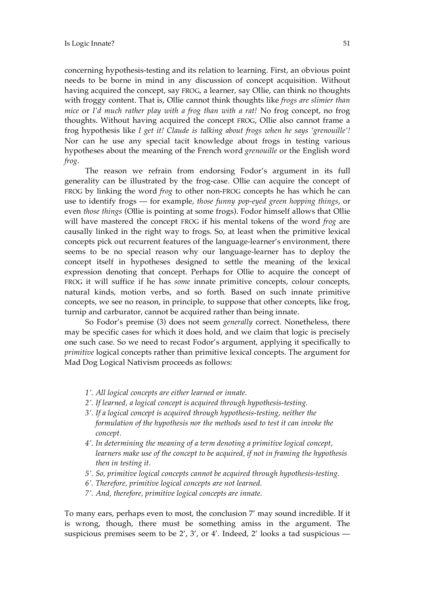concerning hypothesis-testing and its relation to learning. First, an obvious point needs to be borne in mind in any discussion of concept acquisition. Without having acquired the concept, say FROG, a learner, say Ollie, can think no thoughts with froggy content. That is, Ollie cannot think thoughts like *frogs are slimier than mice* or *I'd much rather play with a frog than with a rat!* No frog concept, no frog thoughts. Without having acquired the concept FROG, Ollie also cannot frame a frog hypothesis like *I get it! Claude is talking about frogs when he says 'grenouille'!*  Nor can he use any special tacit knowledge about frogs in testing various hypotheses about the meaning of the French word *grenouille* or the English word *frog*.

The reason we refrain from endorsing Fodor's argument in its full generality can be illustrated by the frog-case. Ollie can acquire the concept of FROG by linking the word *frog* to other non-FROG concepts he has which he can use to identify frogs — for example, *those funny pop-eyed green hopping things*, or even *those things* (Ollie is pointing at some frogs). Fodor himself allows that Ollie will have mastered the concept FROG if his mental tokens of the word *frog* are causally linked in the right way to frogs. So, at least when the primitive lexical concepts pick out recurrent features of the language-learner's environment, there seems to be no special reason why our language-learner has to deploy the concept itself in hypotheses designed to settle the meaning of the lexical expression denoting that concept. Perhaps for Ollie to acquire the concept of FROG it will suffice if he has *some* innate primitive concepts, colour concepts, natural kinds, motion verbs, and so forth. Based on such innate primitive concepts, we see no reason, in principle, to suppose that other concepts, like frog, turnip and carburator, cannot be acquired rather than being innate.

So Fodor's premise (3) does not seem *generally* correct. Nonetheless, there may be specific cases for which it does hold, and we claim that logic is precisely one such case. So we need to recast Fodor's argument, applying it specifically to *primitive* logical concepts rather than primitive lexical concepts. The argument for Mad Dog Logical Nativism proceeds as follows:

- *1'. All logical concepts are either learned or innate.*
- *2'. If learned, a logical concept is acquired through hypothesis-testing.*
- *3'. If a logical concept is acquired through hypothesis-testing, neither the formulation of the hypothesis nor the methods used to test it can invoke the concept.*
- *4'. In determining the meaning of a term denoting a primitive logical concept, learners make use of the concept to be acquired, if not in framing the hypothesis then in testing it.*
- *5'. So, primitive logical concepts cannot be acquired through hypothesis-testing.*
- *6'. Therefore, primitive logical concepts are not learned.*
- *7'. And, therefore, primitive logical concepts are innate.*

To many ears, perhaps even to most, the conclusion 7' may sound incredible. If it is wrong, though, there must be something amiss in the argument. The suspicious premises seem to be 2', 3', or 4'. Indeed, 2' looks a tad suspicious —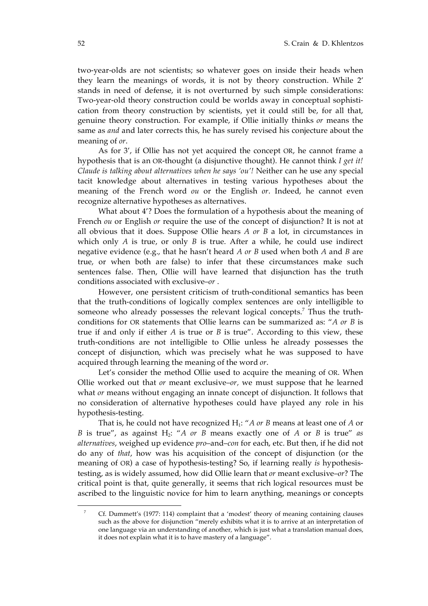two-year-olds are not scientists; so whatever goes on inside their heads when they learn the meanings of words, it is not by theory construction. While 2' stands in need of defense, it is not overturned by such simple considerations: Two-year-old theory construction could be worlds away in conceptual sophistication from theory construction by scientists, yet it could still be, for all that, genuine theory construction. For example, if Ollie initially thinks *or* means the same as *and* and later corrects this, he has surely revised his conjecture about the meaning of *or*.

As for 3', if Ollie has not yet acquired the concept OR, he cannot frame a hypothesis that is an OR-thought (a disjunctive thought). He cannot think *I get it! Claude is talking about alternatives when he says 'ou'!* Neither can he use any special tacit knowledge about alternatives in testing various hypotheses about the meaning of the French word *ou* or the English *or*. Indeed, he cannot even recognize alternative hypotheses as alternatives.

What about 4'? Does the formulation of a hypothesis about the meaning of French *ou* or English *or* require the use of the concept of disjunction? It is not at all obvious that it does. Suppose Ollie hears *A or B* a lot, in circumstances in which only *A* is true, or only *B* is true. After a while, he could use indirect negative evidence (e.g., that he hasn't heard *A or B* used when both *A* and *B* are true, or when both are false) to infer that these circumstances make such sentences false. Then, Ollie will have learned that disjunction has the truth conditions associated with exclusive–*or* .

However, one persistent criticism of truth-conditional semantics has been that the truth-conditions of logically complex sentences are only intelligible to someone who already possesses the relevant logical concepts.<sup>7</sup> Thus the truthconditions for OR statements that Ollie learns can be summarized as: "*A or B* is true if and only if either *A* is true or *B* is true". According to this view, these truth-conditions are not intelligible to Ollie unless he already possesses the concept of disjunction, which was precisely what he was supposed to have acquired through learning the meaning of the word *or*.

Let's consider the method Ollie used to acquire the meaning of OR. When Ollie worked out that *or* meant exclusive–*or,* we must suppose that he learned what *or* means without engaging an innate concept of disjunction. It follows that no consideration of alternative hypotheses could have played any role in his hypothesis-testing.

That is, he could not have recognized H<sub>1</sub>: "*A or B* means at least one of *A* or *B* is true", as against H<sub>2</sub>: "*A* or *B* means exactly one of *A* or *B* is true" as *alternatives*, weighed up evidence *pro*–and–*con* for each, etc. But then, if he did not do any of *that*, how was his acquisition of the concept of disjunction (or the meaning of OR) a case of hypothesis-testing? So, if learning really *is* hypothesistesting, as is widely assumed, how did Ollie learn that *or* meant exclusive–*or*? The critical point is that, quite generally, it seems that rich logical resources must be ascribed to the linguistic novice for him to learn anything, meanings or concepts

 $\overline{a}$ 

Cf. Dummett's (1977: 114) complaint that a 'modest' theory of meaning containing clauses such as the above for disjunction "merely exhibits what it is to arrive at an interpretation of one language via an understanding of another, which is just what a translation manual does, it does not explain what it is to have mastery of a language".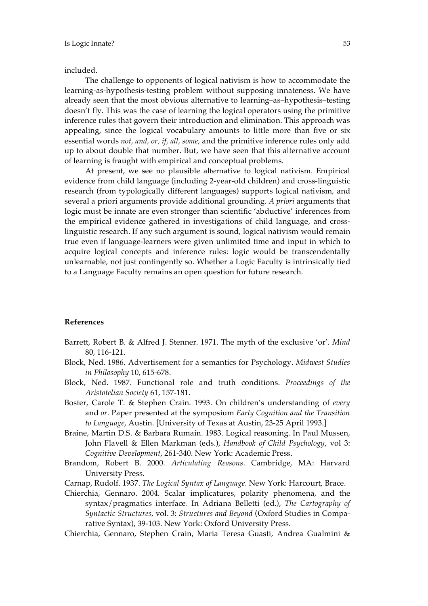included.

The challenge to opponents of logical nativism is how to accommodate the learning-as-hypothesis-testing problem without supposing innateness. We have already seen that the most obvious alternative to learning–as–hypothesis–testing doesn't fly. This was the case of learning the logical operators using the primitive inference rules that govern their introduction and elimination. This approach was appealing, since the logical vocabulary amounts to little more than five or six essential words *not, and, or, if, all, some*, and the primitive inference rules only add up to about double that number. But, we have seen that this alternative account of learning is fraught with empirical and conceptual problems.

At present, we see no plausible alternative to logical nativism. Empirical evidence from child language (including 2-year-old children) and cross-linguistic research (from typologically different languages) supports logical nativism, and several a priori arguments provide additional grounding. *A priori* arguments that logic must be innate are even stronger than scientific 'abductive' inferences from the empirical evidence gathered in investigations of child language, and crosslinguistic research. If any such argument is sound, logical nativism would remain true even if language-learners were given unlimited time and input in which to acquire logical concepts and inference rules: logic would be transcendentally unlearnable, not just contingently so. Whether a Logic Faculty is intrinsically tied to a Language Faculty remains an open question for future research.

## **References**

- Barrett, Robert B. & Alfred J. Stenner. 1971. The myth of the exclusive 'or'. *Mind* 80, 116-121.
- Block, Ned. 1986. Advertisement for a semantics for Psychology. *Midwest Studies in Philosophy* 10, 615-678.
- Block, Ned. 1987. Functional role and truth conditions. *Proceedings of the Aristotelian Society* 61, 157-181.
- Boster, Carole T. & Stephen Crain. 1993. On children's understanding of *every* and *or*. Paper presented at the symposium *Early Cognition and the Transition to Language*, Austin. [University of Texas at Austin, 23-25 April 1993.]
- Braine, Martin D.S. & Barbara Rumain. 1983. Logical reasoning. In Paul Mussen, John Flavell & Ellen Markman (eds.), *Handbook of Child Psychology*, vol 3: *Cognitive Development*, 261-340. New York: Academic Press.
- Brandom, Robert B. 2000. *Articulating Reasons*. Cambridge, MA: Harvard University Press.
- Carnap, Rudolf. 1937. *The Logical Syntax of Language*. New York: Harcourt, Brace.
- Chierchia, Gennaro. 2004. Scalar implicatures, polarity phenomena, and the syntax/pragmatics interface. In Adriana Belletti (ed.), *The Cartography of Syntactic Structures*, vol. 3: *Structures and Beyond* (Oxford Studies in Comparative Syntax), 39-103. New York: Oxford University Press.

Chierchia, Gennaro, Stephen Crain, Maria Teresa Guasti, Andrea Gualmini &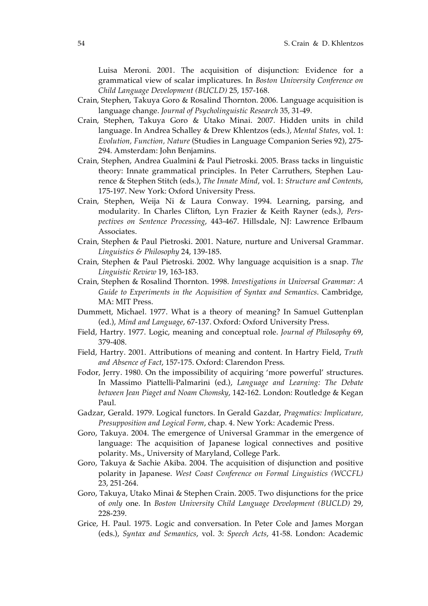Luisa Meroni. 2001. The acquisition of disjunction: Evidence for a grammatical view of scalar implicatures. In *Boston University Conference on Child Language Development (BUCLD)* 25, 157-168.

- Crain, Stephen, Takuya Goro & Rosalind Thornton. 2006. Language acquisition is language change. *Journal of Psycholinguistic Research* 35, 31-49.
- Crain, Stephen, Takuya Goro & Utako Minai. 2007. Hidden units in child language. In Andrea Schalley & Drew Khlentzos (eds.), *Mental States*, vol. 1: *Evolution, Function, Nature* (Studies in Language Companion Series 92), 275- 294. Amsterdam: John Benjamins.
- Crain, Stephen, Andrea Gualmini & Paul Pietroski. 2005. Brass tacks in linguistic theory: Innate grammatical principles. In Peter Carruthers, Stephen Laurence & Stephen Stitch (eds.), *The Innate Mind*, vol. 1: *Structure and Contents*, 175-197. New York: Oxford University Press.
- Crain, Stephen, Weija Ni & Laura Conway. 1994. Learning, parsing, and modularity. In Charles Clifton, Lyn Frazier & Keith Rayner (eds.), *Perspectives on Sentence Processing*, 443-467. Hillsdale, NJ: Lawrence Erlbaum Associates.
- Crain, Stephen & Paul Pietroski. 2001. Nature, nurture and Universal Grammar. *Linguistics & Philosophy* 24, 139-185.
- Crain, Stephen & Paul Pietroski. 2002. Why language acquisition is a snap. *The Linguistic Review* 19, 163-183.
- Crain, Stephen & Rosalind Thornton. 1998. *Investigations in Universal Grammar: A Guide to Experiments in the Acquisition of Syntax and Semantics*. Cambridge, MA: MIT Press.
- Dummett, Michael. 1977. What is a theory of meaning? In Samuel Guttenplan (ed.), *Mind and Language*, 67-137. Oxford: Oxford University Press.
- Field, Hartry. 1977. Logic, meaning and conceptual role. *Journal of Philosophy* 69, 379-408.
- Field, Hartry. 2001. Attributions of meaning and content. In Hartry Field, *Truth and Absence of Fact*, 157-175. Oxford: Clarendon Press.
- Fodor, Jerry. 1980. On the impossibility of acquiring 'more powerful' structures. In Massimo Piattelli-Palmarini (ed.), *Language and Learning: The Debate between Jean Piaget and Noam Chomsky*, 142-162. London: Routledge & Kegan Paul.
- Gadzar, Gerald. 1979. Logical functors. In Gerald Gazdar, *Pragmatics: Implicature, Presupposition and Logical Form*, chap. 4. New York: Academic Press.
- Goro, Takuya. 2004. The emergence of Universal Grammar in the emergence of language: The acquisition of Japanese logical connectives and positive polarity. Ms., University of Maryland, College Park.
- Goro, Takuya & Sachie Akiba. 2004. The acquisition of disjunction and positive polarity in Japanese. *West Coast Conference on Formal Linguistics (WCCFL)* 23, 251-264.
- Goro, Takuya, Utako Minai & Stephen Crain. 2005. Two disjunctions for the price of *only* one. In *Boston University Child Language Development (BUCLD)* 29, 228-239.
- Grice, H. Paul. 1975. Logic and conversation. In Peter Cole and James Morgan (eds.), *Syntax and Semantics*, vol. 3: *Speech Acts*, 41-58. London: Academic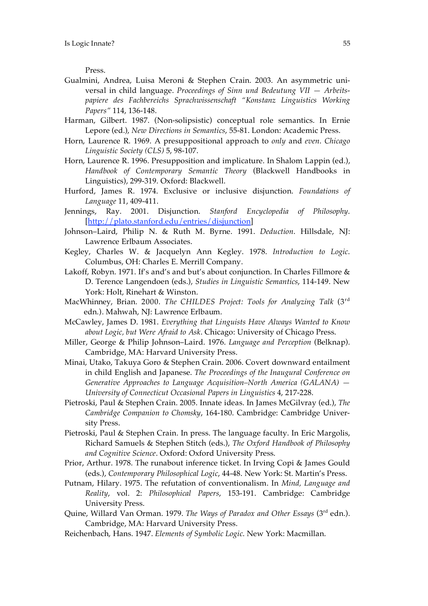Press.

- Gualmini, Andrea, Luisa Meroni & Stephen Crain. 2003. An asymmetric universal in child language. *Proceedings of Sinn und Bedeutung VII — Arbeitspapiere des Fachbereichs Sprachwissenschaft "Konstanz Linguistics Working Papers"* 114, 136-148.
- Harman, Gilbert. 1987. (Non-solipsistic) conceptual role semantics. In Ernie Lepore (ed.), *New Directions in Semantics*, 55-81. London: Academic Press.
- Horn, Laurence R. 1969. A presuppositional approach to *only* and *even*. *Chicago Linguistic Society (CLS)* 5, 98-107.
- Horn, Laurence R. 1996. Presupposition and implicature. In Shalom Lappin (ed.), *Handbook of Contemporary Semantic Theory* (Blackwell Handbooks in Linguistics), 299-319. Oxford: Blackwell.
- Hurford, James R. 1974. Exclusive or inclusive disjunction. *Foundations of Language* 11, 409-411.
- Jennings, Ray. 2001. Disjunction. *Stanford Encyclopedia of Philosophy*. [http://plato.stanford.edu/entries/disjunction]
- Johnson–Laird, Philip N. & Ruth M. Byrne. 1991. *Deduction*. Hillsdale, NJ: Lawrence Erlbaum Associates.
- Kegley, Charles W. & Jacquelyn Ann Kegley. 1978. *Introduction to Logic*. Columbus, OH: Charles E. Merrill Company.
- Lakoff, Robyn. 1971. If's and's and but's about conjunction. In Charles Fillmore & D. Terence Langendoen (eds.), *Studies in Linguistic Semantics*, 114-149. New York: Holt, Rinehart & Winston.
- MacWhinney, Brian. 2000. *The CHILDES Project: Tools for Analyzing Talk* (3rd edn.). Mahwah, NJ: Lawrence Erlbaum.
- McCawley, James D. 1981. *Everything that Linguists Have Always Wanted to Know about Logic, but Were Afraid to Ask*. Chicago: University of Chicago Press.
- Miller, George & Philip Johnson–Laird. 1976. *Language and Perception* (Belknap). Cambridge, MA: Harvard University Press.
- Minai, Utako, Takuya Goro & Stephen Crain. 2006. Covert downward entailment in child English and Japanese. *The Proceedings of the Inaugural Conference on Generative Approaches to Language Acquisition–North America (GALANA) — University of Connecticut Occasional Papers in Linguistics* 4, 217-228.
- Pietroski, Paul & Stephen Crain. 2005. Innate ideas. In James McGilvray (ed.), *The Cambridge Companion to Chomsky*, 164-180. Cambridge: Cambridge University Press.
- Pietroski, Paul & Stephen Crain. In press. The language faculty. In Eric Margolis, Richard Samuels & Stephen Stitch (eds.), *The Oxford Handbook of Philosophy and Cognitive Science*. Oxford: Oxford University Press.
- Prior, Arthur. 1978. The runabout inference ticket. In Irving Copi & James Gould (eds.), *Contemporary Philosophical Logic*, 44-48. New York: St. Martin's Press.
- Putnam, Hilary. 1975. The refutation of conventionalism. In *Mind, Language and Reality*, vol. 2: *Philosophical Papers*, 153-191. Cambridge: Cambridge University Press.
- Quine, Willard Van Orman. 1979. *The Ways of Paradox and Other Essays* (3rd edn.). Cambridge, MA: Harvard University Press.
- Reichenbach, Hans. 1947. *Elements of Symbolic Logic*. New York: Macmillan.